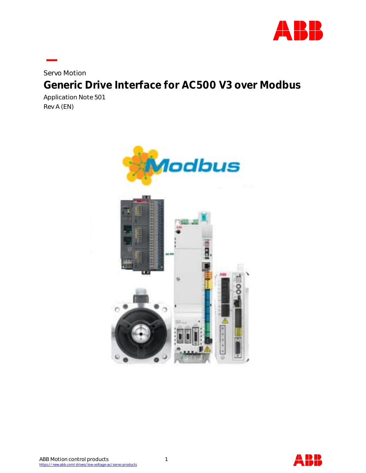

Servo Motion **Generic Drive Interface for AC500 V3 over Modbus** Application Note 501

Rev A (EN)



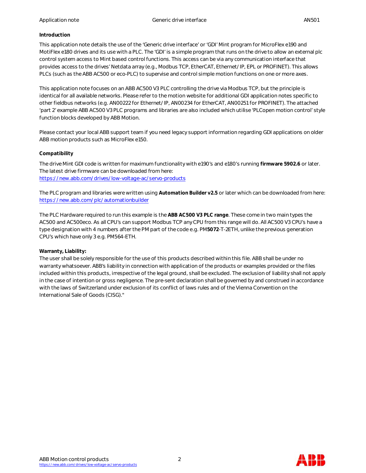# **Introduction**

This application note details the use of the 'Generic drive interface' or 'GDI' Mint program for MicroFlex e190 and MotiFlex e180 drives and its use with a PLC. The 'GDI' is a simple program that runs on the drive to allow an external plc control system access to Mint based control functions. This access can be via any communication interface that provides access to the drives' Netdata array (e.g., Modbus TCP, EtherCAT, Ethernet/IP, EPL or PROFINET). This allows PLCs (such as the ABB AC500 or eco-PLC) to supervise and control simple motion functions on one or more axes.

This application note focuses on an ABB AC500 V3 PLC controlling the drive via Modbus TCP, but the principle is identical for all available networks. Please refer to the motion website for additional GDI application notes specific to other fieldbus networks (e.g. AN00222 for Ethernet/IP, AN00234 for EtherCAT, AN00251 for PROFINET). The attached 'part 2' example ABB AC500 V3 PLC programs and libraries are also included which utilise 'PLCopen motion control' style function blocks developed by ABB Motion.

Please contact your local ABB support team if you need legacy support information regarding GDI applications on older ABB motion products such as MicroFlex e150.

# **Compatibility**

The drive Mint GDI code is written for maximum functionality with e190's and e180's running **firmware 5902.6** or later. The latest drive firmware can be downloaded from here: https://new.abb.com/drives/low-voltage-ac/servo-products

The PLC program and libraries were written using **Automation Builder v2.5** or later which can be downloaded from here: https://new.abb.com/plc/automationbuilder

The PLC Hardware required to run this example is the **ABB AC500 V3 PLC range**. These come in two main types the AC500 and AC500eco. As all CPU's can support Modbus TCP any CPU from this range will do. All AC500 V3 CPU's have a type designation with 4 numbers after the PM part of the code e.g. PM**5072**-T-2ETH, unlike the previous generation CPU's which have only 3 e.g. PM564-ETH.

# **Warranty, Liability:**

The user shall be solely responsible for the use of this products described within this file. ABB shall be under no warranty whatsoever. ABB's liability in connection with application of the products or examples provided or the files included within this products, irrespective of the legal ground, shall be excluded. The exclusion of liability shall not apply in the case of intention or gross negligence. The pre-sent declaration shall be governed by and construed in accordance with the laws of Switzerland under exclusion of its conflict of laws rules and of the Vienna Convention on the International Sale of Goods (CISG)."

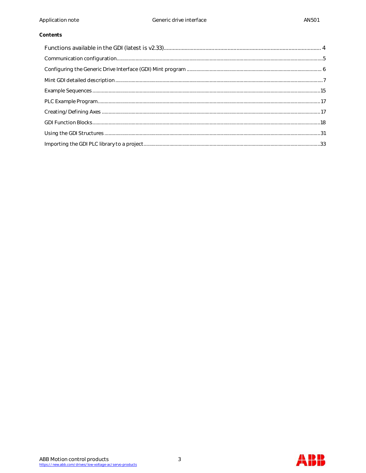# Contents

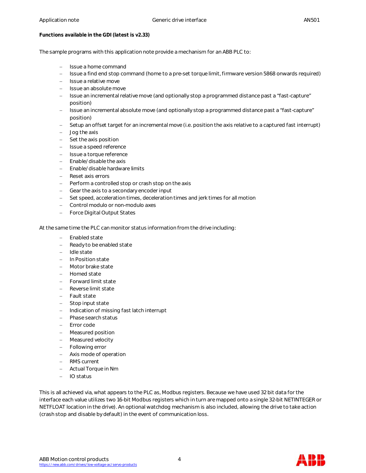**Functions available in the GDI (latest is v2.33)**

The sample programs with this application note provide a mechanism for an ABB PLC to:

- Issue a home command
- Issue a find end stop command (home to a pre-set torque limit, firmware version 5868 onwards required)
- Issue a relative move
- Issue an absolute move
- Issue an incremental relative move (and optionally stop a programmed distance past a "fast-capture" position)
- Issue an incremental absolute move (and optionally stop a programmed distance past a "fast-capture" position)
- Setup an offset target for an incremental move (i.e. position the axis relative to a captured fast interrupt)
- Jog the axis
- Set the axis position
- Issue a speed reference
- Issue a torque reference
- Enable/disable the axis
- Enable/disable hardware limits
- Reset axis errors
- Perform a controlled stop or crash stop on the axis
- Gear the axis to a secondary encoder input
- Set speed, acceleration times, deceleration times and jerk times for all motion
- Control modulo or non-modulo axes
- Force Digital Output States

At the same time the PLC can monitor status information from the drive including:

- Enabled state
- Ready to be enabled state
- Idle state
- In Position state
- Motor brake state
- Homed state
- Forward limit state
- Reverse limit state
- Fault state
- Stop input state
- Indication of missing fast latch interrupt
- Phase search status
- Error code
- Measured position
- Measured velocity
- Following error
- Axis mode of operation
- RMS current
- Actual Torque in Nm
- IO status

This is all achieved via, what appears to the PLC as, Modbus registers. Because we have used 32 bit data for the interface each value utilizes two 16-bit Modbus registers which in turn are mapped onto a single 32-bit NETINTEGER or NETFLOAT location in the drive). An optional watchdog mechanism is also included, allowing the drive to take action (crash stop and disable by default) in the event of communication loss.

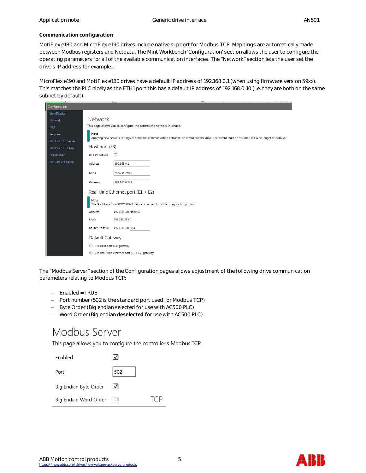#### **Communication configuration**

MotiFlex e180 and MicroFlex e190 drives include native support for Modbus TCP. Mappings are automatically made between Modbus registers and Netdata. The Mint Workbench 'Configuration' section allows the user to configure the operating parameters for all of the available communication interfaces. The "Network" section lets the user set the drive's IP address for example…

MicroFlex e190 and MotiFlex e180 drives have a default IP address of 192.168.0.1 (when using firmware version 59xx). This matches the PLC nicely as the ETH1 port this has a default IP address of 192.168.0.10 (i.e. they are both on the same subnet by default).

| <b>College</b>      |                                              | $\sim$                                                                            |  |  |                                                                                                                                                        |
|---------------------|----------------------------------------------|-----------------------------------------------------------------------------------|--|--|--------------------------------------------------------------------------------------------------------------------------------------------------------|
| Configuration       |                                              |                                                                                   |  |  |                                                                                                                                                        |
| Identification      |                                              |                                                                                   |  |  |                                                                                                                                                        |
| Network             | Network                                      |                                                                                   |  |  |                                                                                                                                                        |
| <b>NAT</b>          |                                              | This page allows you to configure the controller's network interface.             |  |  |                                                                                                                                                        |
| Services            | Note                                         |                                                                                   |  |  |                                                                                                                                                        |
| Modbus TCP Server   |                                              |                                                                                   |  |  | Applying new network settings can stop the communication between the wizard and the drive. The wizard must be restarted if it is no longer responsive. |
| Modbus TCP Client   | Host port (E3)                               |                                                                                   |  |  |                                                                                                                                                        |
| EtherNet/IP         | <b>DHCP</b> Enabled                          | Ð                                                                                 |  |  |                                                                                                                                                        |
| NetData Utilisation | Address                                      | 192.168.0.1                                                                       |  |  |                                                                                                                                                        |
|                     | Mask                                         | 255.255.255.0                                                                     |  |  |                                                                                                                                                        |
|                     | Gateway                                      | 192.168.0.241                                                                     |  |  |                                                                                                                                                        |
|                     |                                              | Real-time Ethernet port ( $E1 + E2$ )                                             |  |  |                                                                                                                                                        |
|                     | Note                                         | The IP address for a POWERLINK device is derived from the rotary switch position. |  |  |                                                                                                                                                        |
|                     | Address                                      | 192.168.100.Node ID                                                               |  |  |                                                                                                                                                        |
|                     | Mask                                         | 255.255.255.0                                                                     |  |  |                                                                                                                                                        |
|                     | Router Node ID                               | 192.168.100. 254                                                                  |  |  |                                                                                                                                                        |
|                     | Default Gateway                              |                                                                                   |  |  |                                                                                                                                                        |
|                     | Use Host port (E3) gateway<br>$\circledcirc$ |                                                                                   |  |  |                                                                                                                                                        |
|                     | $_{\odot}$                                   | Use Real-time Ethernet port (E1 + E2) gateway                                     |  |  |                                                                                                                                                        |

The "Modbus Server" section of the Configuration pages allows adjustment of the following drive communication parameters relating to Modbus TCP:

- $-$  Enabled = TRUE
- Port number (502 is the standard port used for Modbus TCP)
- Byte Order (Big endian selected for use with AC500 PLC)
- Word Order (Big endian **deselected** for use with AC500 PLC)

# Modbus Server

This page allows you to configure the controller's Modbus TCP

| Fnabled               |              |  |
|-----------------------|--------------|--|
| Port                  | 502          |  |
| Big Endian Byte Order | $\checkmark$ |  |
| Big Endian Word Order | <b>Land</b>  |  |



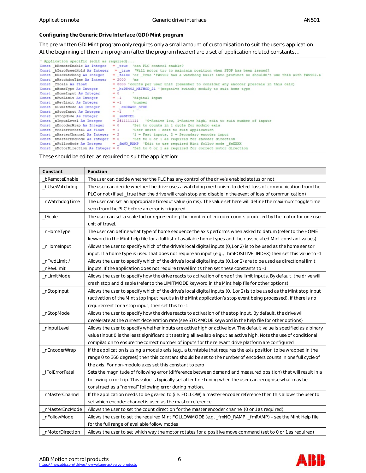**Configuring the Generic Drive Interface (GDI) Mint program**

The pre-written GDI Mint program only requires only a small amount of customisation to suit the user's application. At the beginning of the main program (after the program header) are a set of application related constants…

| ' Application specific (edit as required) |                                                                                                        |
|-------------------------------------------|--------------------------------------------------------------------------------------------------------|
|                                           | Const bRemoteEnable As Integer = true 'can PLC control enable?                                         |
|                                           | Const bZeroSpeedHold As Integer = true 'Will motor try to maintain position when STOP has been issued? |
| Const bUseWatchdog As Integer             | " false 'or True 'FW5902 has a watchdog built into profinet so shouldn't use this with FW5902.6        |
| Const nWatchdogTime As Integer            | $= 2000$ 'ms                                                                                           |
| Const fScale As Float                     | = 8000 'counts per user unit (remember to consider any encoder prescale in this calc)                  |
| Const nHomeType As Integer                | = htD5402 METHOD 21 '(negative switch) modify to suit home type                                        |
| Const nHomeInput As Integer               | $= 0$                                                                                                  |
| Const nFwdLimit As Integer                | $= -1$<br>'digital input                                                                               |
| Const nRevLimit As Integer                | $= -1$<br>'number                                                                                      |
| Const nLimitMode As Integer               | - emCRASH STOP                                                                                         |
| Const nStopInput As Integer               | $= -1$                                                                                                 |
| Const nStopMode As Integer                | $=$ smDECEL                                                                                            |
| Const nInputLevel As Integer              | = 2#111111111 '0=Active low, 1=Active high, edit to suit number of inputs                              |
| Const nEncoderWrap As Integer             | $= 0$<br>'Set to counts in I cycle for modulo axis                                                     |
| Const fFolErrorFatal As Float             |                                                                                                        |
| Const nMasterChannel As Integer           | $= 2$ '1 = Fast inputs, 2 = Secondary encoder input                                                    |
|                                           | Const nMasterEncMode As Integer = $0$ Set to 0 or 1 as required for encoder direction                  |
| Const nFollowMode As Integer              | = fmNO RAMP 'Edit to use required Mint follow mode fmXXXX                                              |
| Const nMotorDirection As Integer = $0$    | 'Set to 0 or 1 as required for correct motor direction                                                 |

#### These should be edited as required to suit the application:

| Constant        | Function                                                                                                              |
|-----------------|-----------------------------------------------------------------------------------------------------------------------|
| bRemoteEnable   | The user can decide whether the PLC has any control of the drive's enabled status or not                              |
| _bUseWatchdog   | The user can decide whether the drive uses a watchdog mechanism to detect loss of communication from the              |
|                 | PLC or not (if set_true then the drive will crash stop and disable in the event of loss of communication)             |
| _nWatchdogTime  | The user can set an appropriate timeout value (in ms). The value set here will define the maximum toggle time         |
|                 | seen from the PLC before an error is triggered.                                                                       |
| fScale          | The user can set a scale factor representing the number of encoder counts produced by the motor for one user          |
|                 | unit of travel.                                                                                                       |
| _nHomeType      | The user can define what type of home sequence the axis performs when asked to datum (refer to the HOME               |
|                 | keyword in the Mint help file for a full list of available home types and their associated Mint constant values)      |
| _nHomeInput     | Allows the user to specify which of the drive's local digital inputs (0,1 or 2) is to be used as the home sensor      |
|                 | input. If a home type is used that does not require an input (e.g., _hmPOSITIVE_INDEX) then set this value to -1      |
| _nFwdLimit /    | Allows the user to specify which of the drive's local digital inputs (0,1 or 2) are to be used as directional limit   |
| nRevLimit       | inputs. If the application does not require travel limits then set these constants to -1                              |
| _nLimitMode     | Allows the user to specify how the drive reacts to activation of one of the limit inputs. By default, the drive will  |
|                 | crash stop and disable (refer to the LIMITMODE keyword in the Mint help file for other options)                       |
| _nStopInput     | Allows the user to specify which of the drive's local digital inputs (0, 1 or 2) is to be used as the Mint stop input |
|                 | (activation of the Mint stop input results in the Mint application's stop event being processed). If there is no      |
|                 | requirement for a stop input, then set this to -1                                                                     |
| _nStopMode      | Allows the user to specify how the drive reacts to activation of the stop input. By default, the drive will           |
|                 | decelerate at the current deceleration rate (see STOPMODE keyword in the help file for other options)                 |
| _nInputLevel    | Allows the user to specify whether inputs are active high or active low. The default value is specified as a binary   |
|                 | value (input 0 is the least significant bit) setting all available input as active high. Note the use of conditional  |
|                 | compilation to ensure the correct number of inputs for the relevant drive platform are configured                     |
| _nEncoderWrap   | If the application is using a modulo axis (e.g., a turntable that requires the axis position to be wrapped in the     |
|                 | range 0 to 360 degrees) then this constant should be set to the number of encoders counts in one full cycle of        |
|                 | the axis. For non-modulo axes set this constant to zero                                                               |
| _fFolErrorFatal | Sets the magnitude of following error (difference between demand and measured position) that will result in a         |
|                 | following error trip. This value is typically set after fine tuning when the user can recognise what may be           |
|                 | construed as a "normal" following error during motion.                                                                |
| _nMasterChannel | If the application needs to be geared to (i.e. FOLLOW) a master encoder reference then this allows the user to        |
|                 | set which encoder channel is used as the master reference                                                             |
| _nMasterEncMode | Allows the user to set the count direction for the master encoder channel (0 or 1 as required)                        |
| _nFollowMode    | Allows the user to set the required Mint FOLLOWMODE (e.g. _fmNO_RAMP, _fmRAMP) – see the Mint Help file               |
|                 | for the full range of available follow modes                                                                          |
| nMotorDirection | Allows the user to set which way the motor rotates for a positive move command (set to 0 or 1 as required)            |

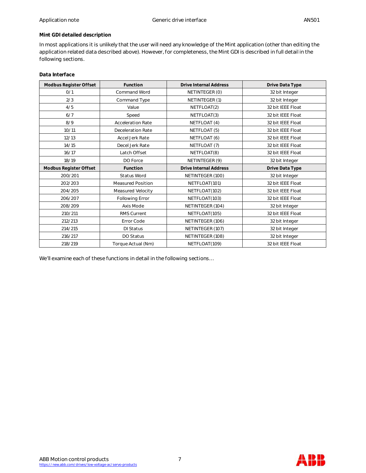# **Mint GDI detailed description**

In most applications it is unlikely that the user will need any knowledge of the Mint application (other than editing the application related data described above). However, for completeness, the Mint GDI is described in full detail in the following sections.

# **Data Interface**

| Modbus Register Offset | Function                 | <b>Drive Internal Address</b> | Drive Data Type   |
|------------------------|--------------------------|-------------------------------|-------------------|
| O/1                    | <b>Command Word</b>      | NETINTEGER (0)                | 32 bit Integer    |
| 2/3                    | Command Type             | NETINTEGER (1)                | 32 bit Integer    |
| 4/5                    | Value                    | NETFLOAT(2)                   | 32 bit IEEE Float |
| 6/7                    | Speed                    | NETFLOAT(3)                   | 32 bit IEEE Float |
| 8/9                    | <b>Acceleration Rate</b> | NETFLOAT (4)                  | 32 bit IEEE Float |
| 10/11                  | <b>Deceleration Rate</b> | NETFLOAT (5)                  | 32 bit IEEE Float |
| 12/13                  | Accel Jerk Rate          | NETFLOAT (6)                  | 32 bit IEEE Float |
| 14/15                  | Decel Jerk Rate          | NETFLOAT (7)                  | 32 bit IEEE Float |
| 16/17                  | Latch Offset             | NETFLOAT(8)                   | 32 bit IEEE Float |
| 18/19                  | DO Force                 | NETINTEGER (9)                | 32 bit Integer    |
| Modbus Register Offset | Function                 | <b>Drive Internal Address</b> | Drive Data Type   |
| 200/201                | Status Word              | NETINTEGER (100)              | 32 bit Integer    |
| 202/203                | <b>Measured Position</b> | NETFLOAT(101)                 | 32 bit IEEE Float |
| 204/205                | Measured Velocity        | NETFLOAT(102)                 | 32 bit IEEE Float |
| 206/207                | Following Error          | NETFLOAT(103)                 | 32 bit IEEE Float |
| 208/209                | Axis Mode                | NETINTEGER (104)              | 32 bit Integer    |
| 210/211                | RMS Current              | NETFLOAT(105)                 | 32 bit IEEE Float |
| 212/213                | Error Code               | NETINTEGER (106)              | 32 bit Integer    |
| 214/215                | <b>DI Status</b>         | NETINTEGER (107)              | 32 bit Integer    |
| 216/217                | DO Status                | NETINTEGER (108)              | 32 bit Integer    |
| 218/219                | Torque Actual (Nm)       | NETFLOAT(109)                 | 32 bit IEEE Float |

We'll examine each of these functions in detail in the following sections…

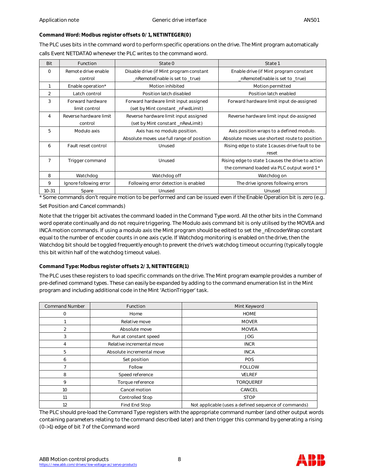**Command Word: Modbus register offsets 0/1, NETINTEGER(0)**

The PLC uses bits in the command word to perform specific operations on the drive. The Mint program automatically calls Event NETDATA0 whenever the PLC writes to the command word.

| Bit            | Function               | State 0                                   | State 1                                           |
|----------------|------------------------|-------------------------------------------|---------------------------------------------------|
| $\Omega$       | Remote drive enable    | Disable drive (if Mint program constant   | Enable drive (if Mint program constant            |
|                | control                | _nRemoteEnable is set to _true)           | _nRemoteEnable is set to _true)                   |
|                | Enable operation*      | Motion inhibited                          | Motion permitted                                  |
| $\overline{2}$ | Latch control          | Position latch disabled                   | Position latch enabled                            |
| 3              | Forward hardware       | Forward hardware limit input assigned     | Forward hardware limit input de-assigned          |
|                | limit control          | (set by Mint constant _nFwdLimit)         |                                                   |
| 4              | Reverse hardware limit | Reverse hardware limit input assigned     | Reverse hardware limit input de-assigned          |
|                | control                | (set by Mint constant _nRevLimit)         |                                                   |
| 5              | Modulo axis            | Axis has no modulo position.              | Axis position wraps to a defined modulo.          |
|                |                        | Absolute moves use full range of position | Absolute moves use shortest route to position     |
| 6              | Fault reset control    | Unused                                    | Rising edge to state 1 causes drive fault to be   |
|                |                        |                                           | reset                                             |
| $\overline{7}$ | Trigger command        | Unused                                    | Rising edge to state 1 causes the drive to action |
|                |                        |                                           | the command loaded via PLC output word 1*         |
| 8              | Watchdog               | Watchdog off                              | Watchdog on                                       |
| 9              | Ignore following error | Following error detection is enabled      | The drive ignores following errors                |
| $10 - 31$      | Spare                  | Unused                                    | Unused                                            |

\* Some commands don't require motion to be performed and can be issued even if the Enable Operation bit is zero (e.g.

Set Position and Cancel commands)

Note that the trigger bit activates the command loaded in the Command Type word. All the other bits in the Command word operate continually and do not require triggering. The Modulo axis command bit is only utilised by the MOVEA and INCA motion commands. If using a modulo axis the Mint program should be edited to set the \_nEncoderWrap constant equal to the number of encoder counts in one axis cycle. If Watchdog monitoring is enabled on the drive, then the Watchdog bit should be toggled frequently enough to prevent the drive's watchdog timeout occurring (typically toggle this bit within half of the watchdog timeout value).

**Command Type: Modbus register offsets 2/3, NETINTEGER(1)**

The PLC uses these registers to load specific commands on the drive. The Mint program example provides a number of pre-defined command types. These can easily be expanded by adding to the command enumeration list in the Mint program and including additional code in the Mint 'ActionTrigger' task.

| <b>Command Number</b> | Function                  | Mint Keyword                                         |
|-----------------------|---------------------------|------------------------------------------------------|
| $\mathbf 0$           | Home                      | <b>HOME</b>                                          |
|                       | Relative move             | <b>MOVER</b>                                         |
| 2                     | Absolute move             | <b>MOVEA</b>                                         |
| 3                     | Run at constant speed     | <b>JOG</b>                                           |
| 4                     | Relative incremental move | <b>INCR</b>                                          |
| 5                     | Absolute incremental move | <b>INCA</b>                                          |
| 6                     | Set position              | POS                                                  |
|                       | Follow                    | <b>FOLLOW</b>                                        |
| 8                     | Speed reference           | <b>VELREF</b>                                        |
| 9                     | Torque reference          | <b>TORQUEREF</b>                                     |
| 10                    | Cancel motion             | CANCEL                                               |
| 11                    | <b>Controlled Stop</b>    | <b>STOP</b>                                          |
| 12                    | Find End Stop             | Not applicable (uses a defined sequence of commands) |

The PLC should pre-load the Command Type registers with the appropriate command number (and other output words containing parameters relating to the command described later) and then trigger this command by generating a rising (0->1) edge of bit 7 of the Command word

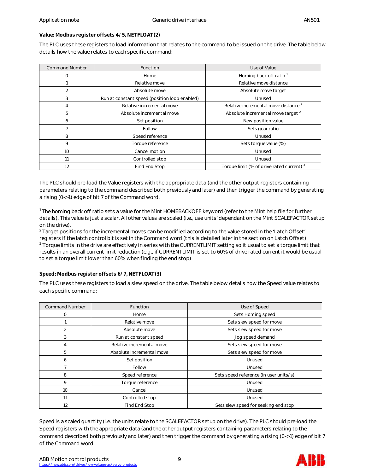# **Value: Modbus register offsets 4/5, NETFLOAT(2)**

The PLC uses these registers to load information that relates to the command to be issued on the drive. The table below details how the value relates to each specific command:

| <b>Command Number</b> | Function                                      | Use of Value                                         |
|-----------------------|-----------------------------------------------|------------------------------------------------------|
| O                     | Home                                          | Homing back off ratio <sup>1</sup>                   |
|                       | Relative move                                 | Relative move distance                               |
| 2                     | Absolute move                                 | Absolute move target                                 |
| 3                     | Run at constant speed (position loop enabled) | Unused                                               |
|                       | Relative incremental move                     | Relative incremental move distance <sup>2</sup>      |
| 5                     | Absolute incremental move                     | Absolute incremental move target <sup>2</sup>        |
| 6                     | Set position                                  | New position value                                   |
|                       | Follow                                        | Sets gear ratio                                      |
| 8                     | Speed reference                               | Unused                                               |
| 9                     | Torque reference                              | Sets torque value (%)                                |
| 10                    | Cancel motion                                 | Unused                                               |
| 11                    | Controlled stop                               | Unused                                               |
| 12                    | Find End Stop                                 | Torque limit (% of drive rated current) <sup>3</sup> |

The PLC should pre-load the Value registers with the appropriate data (and the other output registers containing parameters relating to the command described both previously and later) and then trigger the command by generating a rising (0->1) edge of bit 7 of the Command word.

<sup>1</sup> The homing back off ratio sets a value for the Mint HOMEBACKOFF keyword (refer to the Mint help file for further details). This value is just a scalar. All other values are scaled (i.e., use units' dependant on the Mint SCALEFACTOR setup on the drive).

 $^2$  Target positions for the incremental moves can be modified according to the value stored in the 'Latch Offset' registers if the latch control bit is set in the Command word (this is detailed later in the section on Latch Offset).  $^3$  Torque limits in the drive are effectively in series with the CURRENTLIMIT setting so it usual to set a torque limit that results in an overall current limit reduction (e.g., if CURRENTLIMIT is set to 60% of drive rated current it would be usual to set a torque limit lower than 60% when finding the end stop)

# **Speed: Modbus register offsets 6/7, NETFLOAT(3)**

The PLC uses these registers to load a slew speed on the drive. The table below details how the Speed value relates to each specific command:

| <b>Command Number</b> | Function                  | Use of Speed                           |
|-----------------------|---------------------------|----------------------------------------|
| 0                     | Home                      | Sets Homing speed                      |
|                       | Relative move             | Sets slew speed for move               |
| 2                     | Absolute move             | Sets slew speed for move               |
| 3                     | Run at constant speed     | Jog speed demand                       |
| 4                     | Relative incremental move | Sets slew speed for move               |
| 5                     | Absolute incremental move | Sets slew speed for move               |
| 6                     | Set position              | Unused                                 |
|                       | Follow                    | Unused                                 |
| 8                     | Speed reference           | Sets speed reference (in user units/s) |
| 9                     | Torque reference          | Unused                                 |
| 10                    | Cancel                    | Unused                                 |
| 11                    | Controlled stop           | Unused                                 |
| 12                    | Find End Stop             | Sets slew speed for seeking end stop   |

Speed is a scaled quantity (i.e. the units relate to the SCALEFACTOR setup on the drive). The PLC should pre-load the Speed registers with the appropriate data (and the other output registers containing parameters relating to the command described both previously and later) and then trigger the command by generating a rising (0->1) edge of bit 7 of the Command word.

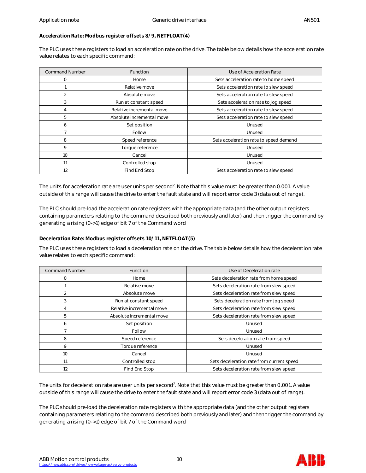**Acceleration Rate: Modbus register offsets 8/9, NETFLOAT(4)**

The PLC uses these registers to load an acceleration rate on the drive. The table below details how the acceleration rate value relates to each specific command:

| <b>Command Number</b> | <b>Function</b>           | Use of Acceleration Rate               |
|-----------------------|---------------------------|----------------------------------------|
| 0                     | Home                      | Sets acceleration rate to home speed   |
|                       | Relative move             | Sets acceleration rate to slew speed   |
| 2                     | Absolute move             | Sets acceleration rate to slew speed   |
| 3                     | Run at constant speed     | Sets acceleration rate to jog speed    |
| 4                     | Relative incremental move | Sets acceleration rate to slew speed   |
| 5                     | Absolute incremental move | Sets acceleration rate to slew speed   |
| 6                     | Set position              | Unused                                 |
|                       | Follow                    | Unused                                 |
| 8                     | Speed reference           | Sets acceleration rate to speed demand |
| 9                     | Torque reference          | Unused                                 |
| 10                    | Cancel                    | Unused                                 |
| 11                    | Controlled stop           | Unused                                 |
| 12                    | Find End Stop             | Sets acceleration rate to slew speed   |

The units for acceleration rate are user units per second<sup>2</sup>. Note that this value must be greater than 0.001. A value outside of this range will cause the drive to enter the fault state and will report error code 3 (data out of range).

The PLC should pre-load the acceleration rate registers with the appropriate data (and the other output registers containing parameters relating to the command described both previously and later) and then trigger the command by generating a rising (0->1) edge of bit 7 of the Command word

**Deceleration Rate: Modbus register offsets 10/11, NETFLOAT(5)**

The PLC uses these registers to load a deceleration rate on the drive. The table below details how the deceleration rate value relates to each specific command:

| <b>Command Number</b> | Function                  | Use of Deceleration rate                  |
|-----------------------|---------------------------|-------------------------------------------|
| 0                     | Home                      | Sets deceleration rate from home speed    |
|                       | Relative move             | Sets deceleration rate from slew speed    |
| 2                     | Absolute move             | Sets deceleration rate from slew speed    |
| 3                     | Run at constant speed     | Sets deceleration rate from jog speed     |
| 4                     | Relative incremental move | Sets deceleration rate from slew speed    |
| 5                     | Absolute incremental move | Sets deceleration rate from slew speed    |
| 6                     | Set position              | Unused                                    |
|                       | Follow                    | Unused                                    |
| 8                     | Speed reference           | Sets deceleration rate from speed         |
| 9                     | Torque reference          | Unused                                    |
| 10                    | Cancel                    | Unused                                    |
| 11                    | Controlled stop           | Sets deceleration rate from current speed |
| 12                    | Find End Stop             | Sets deceleration rate from slew speed    |

The units for deceleration rate are user units per second<sup>2</sup>. Note that this value must be greater than 0.001. A value outside of this range will cause the drive to enter the fault state and will report error code 3 (data out of range).

The PLC should pre-load the deceleration rate registers with the appropriate data (and the other output registers containing parameters relating to the command described both previously and later) and then trigger the command by generating a rising (0->1) edge of bit 7 of the Command word

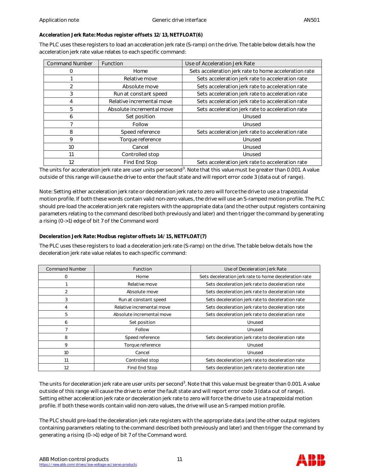## **Acceleration Jerk Rate: Modus register offsets 12/13, NETFLOAT(6)**

The PLC uses these registers to load an acceleration jerk rate (S-ramp) on the drive. The table below details how the acceleration jerk rate value relates to each specific command:

| <b>Command Number</b> | Function                  | Use of Acceleration Jerk Rate                         |
|-----------------------|---------------------------|-------------------------------------------------------|
|                       | Home                      | Sets acceleration jerk rate to home acceleration rate |
|                       | Relative move             | Sets acceleration jerk rate to acceleration rate      |
|                       | Absolute move             | Sets acceleration jerk rate to acceleration rate      |
| 3                     | Run at constant speed     | Sets acceleration jerk rate to acceleration rate      |
| 4                     | Relative incremental move | Sets acceleration jerk rate to acceleration rate      |
| 5                     | Absolute incremental move | Sets acceleration jerk rate to acceleration rate      |
| 6                     | Set position              | Unused                                                |
|                       | Follow                    | Unused                                                |
| 8                     | Speed reference           | Sets acceleration jerk rate to acceleration rate      |
| 9                     | Torque reference          | Unused                                                |
| 10                    | Cancel                    | Unused                                                |
| 11                    | Controlled stop           | Unused                                                |
| 12                    | Find End Stop             | Sets acceleration jerk rate to acceleration rate      |

The units for acceleration jerk rate are user units per second $^3$ . Note that this value must be greater than 0.001. A value outside of this range will cause the drive to enter the fault state and will report error code 3 (data out of range).

Note: Setting either acceleration jerk rate or deceleration jerk rate to zero will force the drive to use a trapezoidal motion profile. If both these words contain valid non-zero values, the drive will use an S-ramped motion profile. The PLC should pre-load the acceleration jerk rate registers with the appropriate data (and the other output registers containing parameters relating to the command described both previously and later) and then trigger the command by generating a rising (0->1) edge of bit 7 of the Command word

**Deceleration Jerk Rate: Modbus register offsets 14/15, NETFLOAT(7)**

The PLC uses these registers to load a deceleration jerk rate (S-ramp) on the drive. The table below details how the deceleration jerk rate value relates to each specific command:

| <b>Command Number</b> | Function                  | Use of Deceleration Jerk Rate                         |
|-----------------------|---------------------------|-------------------------------------------------------|
| $\Omega$              | Home                      | Sets deceleration jerk rate to home deceleration rate |
|                       | Relative move             | Sets deceleration jerk rate to deceleration rate      |
| 2                     | Absolute move             | Sets deceleration jerk rate to deceleration rate      |
| 3                     | Run at constant speed     | Sets deceleration jerk rate to deceleration rate      |
| 4                     | Relative incremental move | Sets deceleration jerk rate to deceleration rate      |
| 5                     | Absolute incremental move | Sets deceleration jerk rate to deceleration rate      |
| 6                     | Set position              | Unused                                                |
|                       | Follow                    | Unused                                                |
| 8                     | Speed reference           | Sets deceleration jerk rate to deceleration rate      |
| 9                     | Torque reference          | Unused                                                |
| 10                    | Cancel                    | Unused                                                |
| 11                    | Controlled stop           | Sets deceleration jerk rate to deceleration rate      |
| 12                    | Find End Stop             | Sets deceleration jerk rate to deceleration rate      |

The units for deceleration jerk rate are user units per second $^3.$  Note that this value must be greater than 0.001. A value outside of this range will cause the drive to enter the fault state and will report error code 3 (data out of range). Setting either acceleration jerk rate or deceleration jerk rate to zero will force the drive to use a trapezoidal motion profile. If both these words contain valid non-zero values, the drive will use an S-ramped motion profile.

The PLC should pre-load the deceleration jerk rate registers with the appropriate data (and the other output registers containing parameters relating to the command described both previously and later) and then trigger the command by generating a rising (0->1) edge of bit 7 of the Command word.

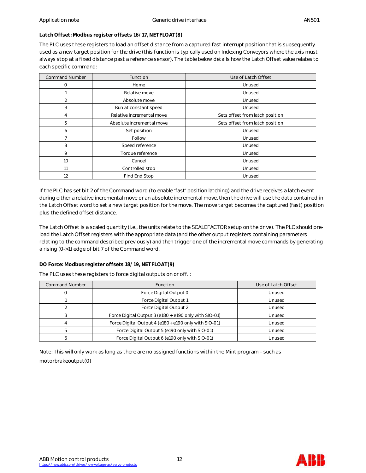# **Latch Offset: Modbus register offsets 16/17, NETFLOAT(8)**

The PLC uses these registers to load an offset distance from a captured fast interrupt position that is subsequently used as a new target position for the drive (this function is typically used on Indexing Conveyors where the axis must always stop at a fixed distance past a reference sensor). The table below details how the Latch Offset value relates to each specific command:

| <b>Command Number</b> | Function                  | Use of Latch Offset             |  |
|-----------------------|---------------------------|---------------------------------|--|
| 0                     | Home                      | Unused                          |  |
|                       | Relative move             | Unused                          |  |
| 2                     | Absolute move             | Unused                          |  |
| 3                     | Run at constant speed     | Unused                          |  |
| 4                     | Relative incremental move | Sets offset from latch position |  |
| 5                     | Absolute incremental move | Sets offset from latch position |  |
| 6                     | Set position              | Unused                          |  |
|                       | Follow                    | Unused                          |  |
| 8                     | Speed reference           | Unused                          |  |
| 9                     | Torque reference          | Unused                          |  |
| 10                    | Cancel                    | Unused                          |  |
| 11                    | Controlled stop           | Unused                          |  |
| 12                    | Find End Stop             | Unused                          |  |

If the PLC has set bit 2 of the Command word (to enable 'fast' position latching) and the drive receives a latch event during either a relative incremental move or an absolute incremental move, then the drive will use the data contained in the Latch Offset word to set a new target position for the move. The move target becomes the captured (fast) position plus the defined offset distance.

The Latch Offset is a scaled quantity (i.e., the units relate to the SCALEFACTOR setup on the drive). The PLC should preload the Latch Offset registers with the appropriate data (and the other output registers containing parameters relating to the command described previously) and then trigger one of the incremental move commands by generating a rising (0->1) edge of bit 7 of the Command word.

# **DO Force: Modbus register offsets 18/19, NETFLOAT(9)**

The PLC uses these registers to force digital outputs on or off. :

| <b>Command Number</b> | <b>Function</b>                                       | Use of Latch Offset |
|-----------------------|-------------------------------------------------------|---------------------|
|                       | Force Digital Output 0                                | Unused              |
|                       | Force Digital Output 1                                | Unused              |
|                       | Force Digital Output 2                                | Unused              |
|                       | Force Digital Output 3 (e180 + e190 only with SIO-01) | Unused              |
|                       | Force Digital Output 4 (e180+ e190 only with SIO-01)  | Unused              |
|                       | Force Digital Output 5 (e190 only with SIO-01)        | Unused              |
|                       | Force Digital Output 6 (e190 only with SIO-01)        | Unused              |

Note: This will only work as long as there are no assigned functions within the Mint program – such as motorbrakeoutput(0)

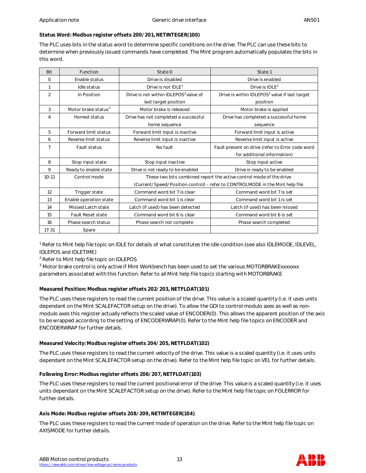## **Status Word: Modbus register offsets 200/201, NETINTEGER(100)**

The PLC uses bits in the status word to determine specific conditions on the drive. The PLC can use these bits to determine when previously issued commands have completed. The Mint program automatically populates the bits in this word.

| <b>Bit</b>     | Function                        | State 0                                                                       | State 1                                                   |
|----------------|---------------------------------|-------------------------------------------------------------------------------|-----------------------------------------------------------|
| $\Omega$       | Enable status                   | Drive is disabled                                                             | Drive is enabled                                          |
| 1              | Idle status                     | Drive is not IDLE <sup>1</sup>                                                | Drive is $IDLE1$                                          |
| $\overline{2}$ | In Position                     | Drive is not within IDLEPOS <sup>2</sup> value of                             | Drive is within IDLEPOS <sup>2</sup> value if last target |
|                |                                 | last target position                                                          | position                                                  |
| 3              | Motor brake status <sup>3</sup> | Motor brake is released                                                       | Motor brake is applied                                    |
| $\overline{4}$ | Homed status                    | Drive has not completed a successful                                          | Drive has completed a successful home                     |
|                |                                 | home sequence                                                                 | sequence                                                  |
| 5              | Forward limit status            | Forward limit input is inactive                                               | Forward limit input is active                             |
| 6              | Reverse limit status            | Reverse limit input is inactive                                               | Reverse limit input is active                             |
| $\overline{7}$ | Fault status                    | No fault                                                                      | Fault present on drive (refer to Error code word          |
|                |                                 |                                                                               | for additional information)                               |
| 8              | Stop input state                | Stop input inactive                                                           | Stop input active                                         |
| 9              | Ready to enable state           | Drive is not ready to be enabled                                              | Drive is ready to be enabled                              |
| $10 - 11$      | Control mode                    | These two bits combined report the active control mode of the drive           |                                                           |
|                |                                 | (Current/Speed/Position control) - refer to CONTROLMODE in the Mint help file |                                                           |
| 12             | Trigger state                   | Command word bit 7 is clear                                                   | Command word bit 7 is set                                 |
| 13             | Enable operation state          | Command word bit 1 is clear                                                   | Command word bit 1 is set                                 |
| 14             | Missed Latch state              | Latch (if used) has been detected                                             | Latch (if used) has been missed                           |
| 15             | <b>Fault Reset state</b>        | Command word bit 6 is clear                                                   | Command word bit 6 is set                                 |
| 16             | Phase search status             | Phase search not complete                                                     | Phase search completed                                    |
| $17 - 31$      | Spare                           |                                                                               |                                                           |

<sup>1</sup> Refer to Mint help file topic on IDLE for details of what constitutes the idle condition (see also IDLEMODE, IDLEVEL, IDLEPOS and IDLETIME)

 $^2$  Refer to Mint help file topic on IDLEPOS

 $^3$  Motor brake control is only active if Mint Workbench has been used to set the various MOTORBRAKExxxxxxx parameters associated with this function. Refer to all Mint help file topics starting with MOTORBRAKE

# **Measured Position: Modbus register offsets 202/203, NETFLOAT(101)**

The PLC uses these registers to read the current position of the drive. This value is a scaled quantity (i.e. it uses units dependant on the Mint SCALEFACTOR setup on the drive). To allow the GDI to control modulo axes as well as nonmodulo axes this register actually reflects the scaled value of ENCODER(0). This allows the apparent position of the axis to be wrapped according to the setting of ENCODERWRAP(0). Refer to the Mint help file topics on ENCODER and ENCODERWRAP for further details.

# **Measured Velocity: Modbus register offsets 204/205, NETFLOAT(102)**

The PLC uses these registers to read the current velocity of the drive. This value is a scaled quantity (i.e. it uses units dependant on the Mint SCALEFACTOR setup on the drive). Refer to the Mint help file topic on VEL for further details.

**Following Error: Modbus register offsets 206/207, NETFLOAT(103)**

The PLC uses these registers to read the current positional error of the drive. This value is a scaled quantity (i.e. it uses units dependant on the Mint SCALEFACTOR setup on the drive). Refer to the Mint help file topic on FOLERROR for further details.

## **Axis Mode: Modbus register offsets 208/209, NETINTEGER(104)**

The PLC uses these registers to read the current mode of operation on the drive. Refer to the Mint help file topic on AXISMODE for further details.

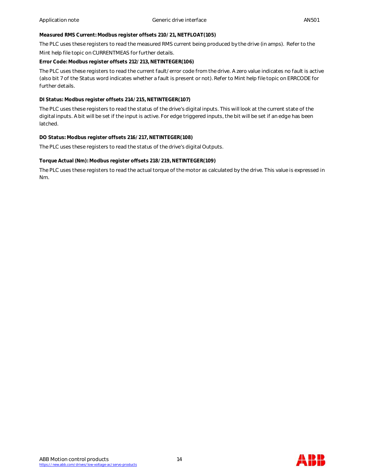**Measured RMS Current: Modbus register offsets 210/21, NETFLOAT(105)**

The PLC uses these registers to read the measured RMS current being produced by the drive (in amps). Refer to the

Mint help file topic on CURRENTMEAS for further details.

**Error Code: Modbus register offsets 212/213, NETINTEGER(106)**

The PLC uses these registers to read the current fault/error code from the drive. A zero value indicates no fault is active (also bit 7 of the Status word indicates whether a fault is present or not). Refer to Mint help file topic on ERRCODE for further details.

**DI Status: Modbus register offsets 214/215, NETINTEGER(107)**

The PLC uses these registers to read the status of the drive's digital inputs. This will look at the current state of the digital inputs. A bit will be set if the input is active. For edge triggered inputs, the bit will be set if an edge has been latched.

**DO Status: Modbus register offsets 216/217, NETINTEGER(108)**

The PLC uses these registers to read the status of the drive's digital Outputs.

**Torque Actual (Nm): Modbus register offsets 218/219, NETINTEGER(109)**

The PLC uses these registers to read the actual torque of the motor as calculated by the drive. This value is expressed in Nm.



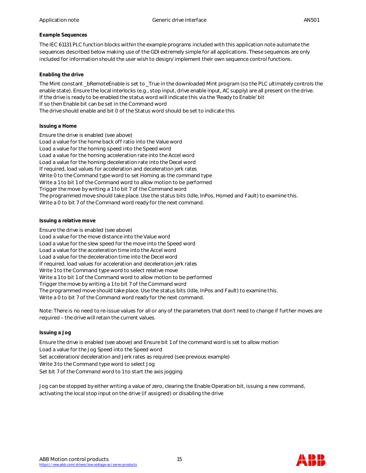# **Example Sequences**

The IEC 61131 PLC function blocks within the example programs included with this application note automate the sequences described below making use of the GDI extremely simple for all applications. These sequences are only included for information should the user wish to design/implement their own sequence control functions.

# **Enabling the drive**

The Mint constant bRemoteEnable is set to True in the downloaded Mint program (so the PLC ultimately controls the enable state). Ensure the local interlocks (e.g., stop input, drive enable input, AC supply) are all present on the drive. If the drive is ready to be enabled the status word will indicate this via the 'Ready to Enable' bit If so then Enable bit can be set in the Command word The drive should enable and bit 0 of the Status word should be set to indicate this

# **Issuing a Home**

Ensure the drive is enabled (see above) Load a value for the home back off ratio into the Value word Load a value for the homing speed into the Speed word Load a value for the homing acceleration rate into the Accel word Load a value for the homing deceleration rate into the Decel word If required, load values for acceleration and deceleration jerk rates Write 0 to the Command type word to set Homing as the command type Write a 1 to bit 1 of the Command word to allow motion to be performed Trigger the move by writing a 1 to bit 7 of the Command word The programmed move should take place. Use the status bits (Idle, InPos, Homed and Fault) to examine this. Write a 0 to bit 7 of the Command word ready for the next command.

## **Issuing a relative move**

Ensure the drive is enabled (see above) Load a value for the move distance into the Value word Load a value for the slew speed for the move into the Speed word Load a value for the acceleration time into the Accel word Load a value for the deceleration time into the Decel word If required, load values for acceleration and deceleration jerk rates Write 1 to the Command type word to select relative move Write a 1 to bit 1 of the Command word to allow motion to be performed Trigger the move by writing a 1 to bit 7 of the Command word The programmed move should take place. Use the status bits (Idle, InPos and Fault) to examine this. Write a 0 to bit 7 of the Command word ready for the next command.

Note: There is no need to re-issue values for all or any of the parameters that don't need to change if further moves are required – the drive will retain the current values.

## **Issuing a Jog**

Ensure the drive is enabled (see above) and Ensure bit 1 of the command word is set to allow motion Load a value for the Jog Speed into the Speed word Set acceleration/deceleration and Jerk rates as required (see previous example) Write 3 to the Command type word to select Jog Set bit 7 of the Command word to 1 to start the axis jogging

Jog can be stopped by either writing a value of zero, clearing the Enable Operation bit, issuing a new command, activating the local stop input on the drive (if assigned) or disabling the drive

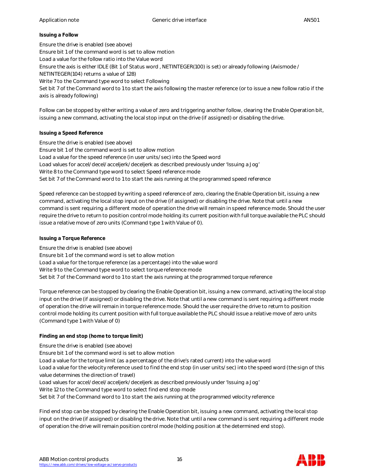#### **Issuing a Follow**

Ensure the drive is enabled (see above) Ensure bit 1 of the command word is set to allow motion Load a value for the follow ratio into the Value word Ensure the axis is either IDLE (Bit 1 of Status word , NETINTEGER(100) is set) or already following (Axismode / NETINTEGER(104) returns a value of 128) Write 7 to the Command type word to select Following Set bit 7 of the Command word to 1 to start the axis following the master reference (or to issue a new follow ratio if the axis is already following)

Follow can be stopped by either writing a value of zero and triggering another follow, clearing the Enable Operation bit, issuing a new command, activating the local stop input on the drive (if assigned) or disabling the drive.

## **Issuing a Speed Reference**

Ensure the drive is enabled (see above) Ensure bit 1 of the command word is set to allow motion Load a value for the speed reference (in user units/sec) into the Speed word Load values for accel/decel/acceljerk/deceljerk as described previously under 'Issuing a Jog' Write 8 to the Command type word to select Speed reference mode Set bit 7 of the Command word to 1 to start the axis running at the programmed speed reference

Speed reference can be stopped by writing a speed reference of zero, clearing the Enable Operation bit, issuing a new command, activating the local stop input on the drive (if assigned) or disabling the drive. Note that until a new command is sent requiring a different mode of operation the drive will remain in speed reference mode. Should the user require the drive to return to position control mode holding its current position with full torque available the PLC should issue a relative move of zero units (Command type 1 with Value of 0).

## **Issuing a Torque Reference**

Ensure the drive is enabled (see above) Ensure bit 1 of the command word is set to allow motion Load a value for the torque reference (as a percentage) into the value word Write 9 to the Command type word to select torque reference mode Set bit 7 of the Command word to 1 to start the axis running at the programmed torque reference

Torque reference can be stopped by clearing the Enable Operation bit, issuing a new command, activating the local stop input on the drive (if assigned) or disabling the drive. Note that until a new command is sent requiring a different mode of operation the drive will remain in torque reference mode. Should the user require the drive to return to position control mode holding its current position with full torque available the PLC should issue a relative move of zero units (Command type 1 with Value of 0)

# **Finding an end stop (home to torque limit)**

Ensure the drive is enabled (see above)

Ensure bit 1 of the command word is set to allow motion

Load a value for the torque limit (as a percentage of the drive's rated current) into the value word

Load a value for the velocity reference used to find the end stop (in user units/sec) into the speed word (the sign of this value determines the direction of travel)

Load values for accel/decel/acceljerk/deceljerk as described previously under 'Issuing a Jog'

Write 12 to the Command type word to select find end stop mode

Set bit 7 of the Command word to 1 to start the axis running at the programmed velocity reference

Find end stop can be stopped by clearing the Enable Operation bit, issuing a new command, activating the local stop input on the drive (if assigned) or disabling the drive. Note that until a new command is sent requiring a different mode of operation the drive will remain position control mode (holding position at the determined end stop).

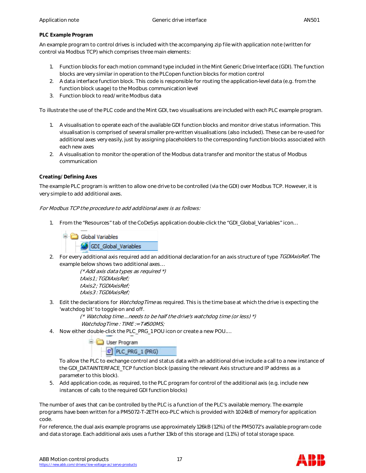# **PLC Example Program**

An example program to control drives is included with the accompanying zip file with application note (written for control via Modbus TCP) which comprises three main elements:

- 1. Function blocks for each motion command type included in the Mint Generic Drive Interface (GDI). The function blocks are very similar in operation to the PLCopen function blocks for motion control
- 2. A data interface function block. This code is responsible for routing the application-level data (e.g. from the function block usage) to the Modbus communication level
- 3. Function block to read/write Modbus data

To illustrate the use of the PLC code and the Mint GDI, two visualisations are included with each PLC example program.

- 1. A visualisation to operate each of the available GDI function blocks and monitor drive status information. This visualisation is comprised of several smaller pre-written visualisations (also included). These can be re-used for additional axes very easily, just by assigning placeholders to the corresponding function blocks associated with each new axes
- 2. A visualisation to monitor the operation of the Modbus data transfer and monitor the status of Modbus communication

# **Creating/Defining Axes**

The example PLC program is written to allow one drive to be controlled (via the GDI) over Modbus TCP. However, it is very simple to add additional axes.

## For Modbus TCP the procedure to add additional axes is as follows:

1. From the "Resources" tab of the CoDeSys application double-click the "GDI\_Global\_Variables" icon…



2. For every additional axis required add an additional declaration for an axis structure of type TGDIAxisRef. The example below shows two additional axes…

> (\* Add axis data types as required \*) tAxis1 ; TGDIAxisRef; tAxis2 ; TGDIAxisRef; tAxis3 : TGDIAxisRef;

3. Edit the declarations for *WatchdogTime* as required. This is the time base at which the drive is expecting the 'watchdog bit' to toggle on and off.

> (\* Watchdog time....needs to be half the drive's watchdog time (or less) \*) WatchdogTime : TIME := T#500MS;

4. Now either double-click the PLC\_PRG\_1 POU icon or create a new POU.…



To allow the PLC to exchange control and status data with an additional drive include a call to a new instance of the GDI\_DATAINTERFACE\_TCP function block (passing the relevant Axis structure and IP address as a parameter to this block).

5. Add application code, as required, to the PLC program for control of the additional axis (e.g. include new instances of calls to the required GDI function blocks)

The number of axes that can be controlled by the PLC is a function of the PLC's available memory. The example programs have been written for a PM5072-T-2ETH eco-PLC which is provided with 1024kB of memory for application code.

For reference, the dual axis example programs use approximately 126kB (12%) of the PM5072's available program code and data storage. Each additional axis uses a further 13kb of this storage and (1.1%) of total storage space.

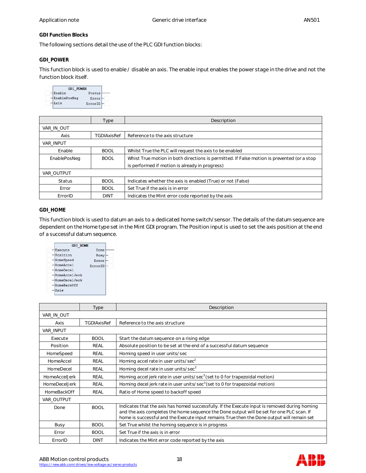#### **GDI Function Blocks**

The following sections detail the use of the PLC GDI function blocks:

#### **GDI\_POWER**

This function block is used to enable / disable an axis. The enable input enables the power stage in the drive and not the function block itself.

| <b>GDI POWER</b> |         |
|------------------|---------|
| Enable           | Status  |
| EnablePosNeg     | Erro:   |
|                  | ErrorID |

|                  | Type               | Description                                                                                |
|------------------|--------------------|--------------------------------------------------------------------------------------------|
| VAR IN OUT       |                    |                                                                                            |
| Axis             | <b>TGDIAxisRef</b> | Reference to the axis structure                                                            |
| <b>VAR INPUT</b> |                    |                                                                                            |
| Enable           | <b>BOOL</b>        | Whilst True the PLC will request the axis to be enabled                                    |
| EnablePosNeg     | <b>BOOL</b>        | Whist True motion in both directions is permitted. If False motion is prevented (or a stop |
|                  |                    | is performed if motion is already in progress)                                             |
| VAR OUTPUT       |                    |                                                                                            |
| <b>Status</b>    | <b>BOOL</b>        | Indicates whether the axis is enabled (True) or not (False)                                |
| Error            | <b>BOOL</b>        | Set True if the axis is in error                                                           |
| ErrorID          | <b>DINT</b>        | Indicates the Mint error code reported by the axis                                         |

# **GDI\_HOME**

This function block is used to datum an axis to a dedicated home switch/sensor. The details of the datum sequence are dependent on the Home type set in the Mint GDI program. The Position input is used to set the axis position at the end of a successful datum sequence.



|                      | Type               | Description                                                                                                                                                                                                                                                                              |
|----------------------|--------------------|------------------------------------------------------------------------------------------------------------------------------------------------------------------------------------------------------------------------------------------------------------------------------------------|
| VAR_IN_OUT           |                    |                                                                                                                                                                                                                                                                                          |
| Axis                 | <b>TGDIAxisRef</b> | Reference to the axis structure                                                                                                                                                                                                                                                          |
| VAR_INPUT            |                    |                                                                                                                                                                                                                                                                                          |
| Execute              | <b>BOOL</b>        | Start the datum sequence on a rising edge                                                                                                                                                                                                                                                |
| Position             | <b>REAL</b>        | Absolute position to be set at the end of a successful datum sequence                                                                                                                                                                                                                    |
| HomeSpeed            | REAL               | Homing speed in user units/sec                                                                                                                                                                                                                                                           |
| HomeAccel            | <b>REAL</b>        | Homing accel rate in user units/sec <sup>2</sup>                                                                                                                                                                                                                                         |
| HomeDecel            | REAL               | Homing decel rate in user units/sec <sup>2</sup>                                                                                                                                                                                                                                         |
| HomeAccelJerk        | REAL               | Homing accel jerk rate in user units/sec $3$ (set to 0 for trapezoidal motion)                                                                                                                                                                                                           |
| <b>HomeDecelJerk</b> | REAL               | Homing decel jerk rate in user units/sec <sup>3</sup> (set to 0 for trapezoidal motion)                                                                                                                                                                                                  |
| <b>HomeBackOff</b>   | REAL               | Ratio of Home speed to backoff speed                                                                                                                                                                                                                                                     |
| VAR_OUTPUT           |                    |                                                                                                                                                                                                                                                                                          |
| Done                 | <b>BOOL</b>        | Indicates that the axis has homed successfully. If the Execute input is removed during homing<br>and the axis completes the home sequence the Done output will be set for one PLC scan. If<br>home is successful and the Execute input remains True then the Done output will remain set |
| Busy                 | <b>BOOL</b>        | Set True whilst the homing sequence is in progress                                                                                                                                                                                                                                       |
| Error                | <b>BOOL</b>        | Set True if the axis is in error                                                                                                                                                                                                                                                         |
| ErrorID              | <b>DINT</b>        | Indicates the Mint error code reported by the axis                                                                                                                                                                                                                                       |

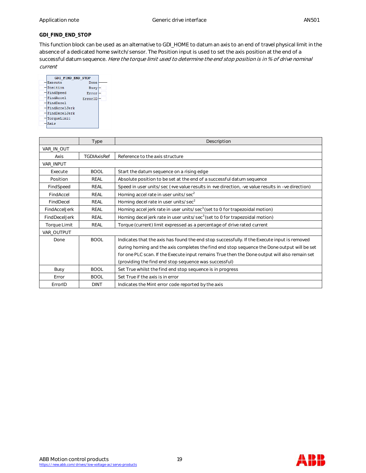## **GDI\_FIND\_END\_STOP**

This function block can be used as an alternative to GDI\_HOME to datum an axis to an end of travel physical limit in the absence of a dedicated home switch/sensor. The Position input is used to set the axis position at the end of a successful datum sequence. Here the torque limit used to determine the end stop position is in % of drive nominal current



|               | Type        | Description                                                                                      |
|---------------|-------------|--------------------------------------------------------------------------------------------------|
| VAR_IN_OUT    |             |                                                                                                  |
| Axis          | TGDIAxisRef | Reference to the axis structure                                                                  |
| VAR INPUT     |             |                                                                                                  |
| Execute       | <b>BOOL</b> | Start the datum sequence on a rising edge                                                        |
| Position      | REAL        | Absolute position to be set at the end of a successful datum sequence                            |
| FindSpeed     | REAL        | Speed in user units/sec (+ve value results in +ve direction, -ve value results in -ve direction) |
| FindAccel     | REAL        | Homing accel rate in user units/sec <sup>2</sup>                                                 |
| FindDecel     | REAL        | Homing decel rate in user units/sec <sup>2</sup>                                                 |
| FindAccelJerk | REAL        | Homing accel jerk rate in user units/sec <sup>3</sup> (set to 0 for trapezoidal motion)          |
| FindDeceLlerk | REAL        | Homing decel jerk rate in user units/sec <sup>3</sup> (set to 0 for trapezoidal motion)          |
| Torque Limit  | REAL        | Torque (current) limit expressed as a percentage of drive rated current                          |
| VAR OUTPUT    |             |                                                                                                  |
| Done          | <b>BOOL</b> | Indicates that the axis has found the end stop successfully. If the Execute input is removed     |
|               |             | during homing and the axis completes the find end stop sequence the Done output will be set      |
|               |             | for one PLC scan. If the Execute input remains True then the Done output will also remain set    |
|               |             | (providing the find end stop sequence was successful)                                            |
| Busy          | <b>BOOL</b> | Set True whilst the find end stop sequence is in progress                                        |
| Error         | <b>BOOL</b> | Set True if the axis is in error                                                                 |
| ErrorID       | <b>DINT</b> | Indicates the Mint error code reported by the axis                                               |



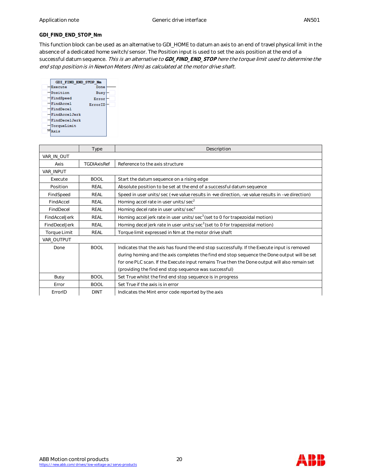# **GDI\_FIND\_END\_STOP\_Nm**

This function block can be used as an alternative to GDI\_HOME to datum an axis to an end of travel physical limit in the absence of a dedicated home switch/sensor. The Position input is used to set the axis position at the end of a successful datum sequence. This is an alternative to **GDI\_FIND\_END\_STOP** here the torque limit used to determine the end stop position is in Newton Meters (Nm) as calculated at the motor drive shaft.



|                | Type        | Description                                                                                      |
|----------------|-------------|--------------------------------------------------------------------------------------------------|
| VAR IN OUT     |             |                                                                                                  |
| Axis           | TGDIAxisRef | Reference to the axis structure                                                                  |
| VAR INPUT      |             |                                                                                                  |
| Execute        | <b>BOOL</b> | Start the datum sequence on a rising edge                                                        |
| Position       | REAL        | Absolute position to be set at the end of a successful datum sequence                            |
| FindSpeed      | REAL        | Speed in user units/sec (+ve value results in +ve direction, -ve value results in -ve direction) |
| FindAccel      | REAL        | Homing accel rate in user units/sec <sup>2</sup>                                                 |
| FindDecel      | <b>REAL</b> | Homing decel rate in user units/sec <sup>2</sup>                                                 |
| FindAccelJerk  | REAL        | Homing accel jerk rate in user units/sec <sup>3</sup> (set to 0 for trapezoidal motion)          |
| FindDecel.Jerk | REAL        | Homing decel jerk rate in user units/sec <sup>3</sup> (set to 0 for trapezoidal motion)          |
| Torque Limit   | REAL        | Torque limit expressed in Nm at the motor drive shaft                                            |
| VAR OUTPUT     |             |                                                                                                  |
| Done           | <b>BOOL</b> | Indicates that the axis has found the end stop successfully. If the Execute input is removed     |
|                |             | during homing and the axis completes the find end stop sequence the Done output will be set      |
|                |             | for one PLC scan. If the Execute input remains True then the Done output will also remain set    |
|                |             | (providing the find end stop sequence was successful)                                            |
| Busy           | <b>BOOL</b> | Set True whilst the find end stop sequence is in progress                                        |
| Error          | <b>BOOL</b> | Set True if the axis is in error                                                                 |
| ErrorID        | <b>DINT</b> | Indicates the Mint error code reported by the axis                                               |



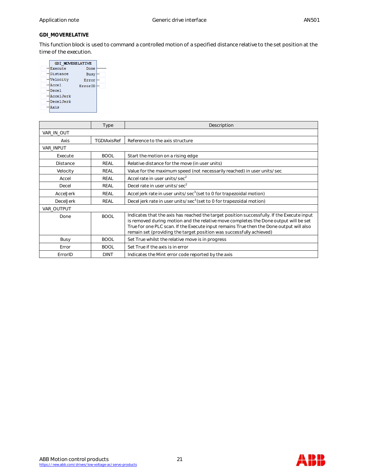# **GDI\_MOVERELATIVE**

This function block is used to command a controlled motion of a specified distance relative to the set position at the time of the execution.

|           | <b>GDI MOVERELATIVE</b> |
|-----------|-------------------------|
|           |                         |
| Execute   | Done                    |
| Distance  | Busy                    |
| Velocity  | Error                   |
| Accel     | ErrorID                 |
| Decel     |                         |
| AccelJerk |                         |
| DecelJerk |                         |
| Axis      |                         |
|           |                         |

|                  | Type               | Description                                                                                                                                                                                                                                                                                                                                           |
|------------------|--------------------|-------------------------------------------------------------------------------------------------------------------------------------------------------------------------------------------------------------------------------------------------------------------------------------------------------------------------------------------------------|
| VAR_IN_OUT       |                    |                                                                                                                                                                                                                                                                                                                                                       |
| Axis             | <b>TGDIAxisRef</b> | Reference to the axis structure                                                                                                                                                                                                                                                                                                                       |
| <b>VAR INPUT</b> |                    |                                                                                                                                                                                                                                                                                                                                                       |
| Execute          | <b>BOOL</b>        | Start the motion on a rising edge                                                                                                                                                                                                                                                                                                                     |
| <b>Distance</b>  | REAL               | Relative distance for the move (in user units)                                                                                                                                                                                                                                                                                                        |
| Velocity         | REAL               | Value for the maximum speed (not necessarily reached) in user units/sec                                                                                                                                                                                                                                                                               |
| Accel            | REAL               | Accel rate in user units/sec <sup>2</sup>                                                                                                                                                                                                                                                                                                             |
| Decel            | REAL               | Decel rate in user units/sec <sup>2</sup>                                                                                                                                                                                                                                                                                                             |
| AccelJerk        | REAL               | Accel jerk rate in user units/sec <sup>3</sup> (set to 0 for trapezoidal motion)                                                                                                                                                                                                                                                                      |
| <b>DecelJerk</b> | REAL               | Decel jerk rate in user units/sec <sup>3</sup> (set to 0 for trapezoidal motion)                                                                                                                                                                                                                                                                      |
| VAR OUTPUT       |                    |                                                                                                                                                                                                                                                                                                                                                       |
| Done             | <b>BOOL</b>        | Indicates that the axis has reached the target position successfully. If the Execute input<br>is removed during motion and the relative move completes the Done output will be set<br>True for one PLC scan. If the Execute input remains True then the Done output will also<br>remain set (providing the target position was successfully achieved) |
| Busy             | <b>BOOL</b>        | Set True whilst the relative move is in progress                                                                                                                                                                                                                                                                                                      |
| Error            | <b>BOOL</b>        | Set True if the axis is in error                                                                                                                                                                                                                                                                                                                      |
| ErrorID          | <b>DINT</b>        | Indicates the Mint error code reported by the axis                                                                                                                                                                                                                                                                                                    |



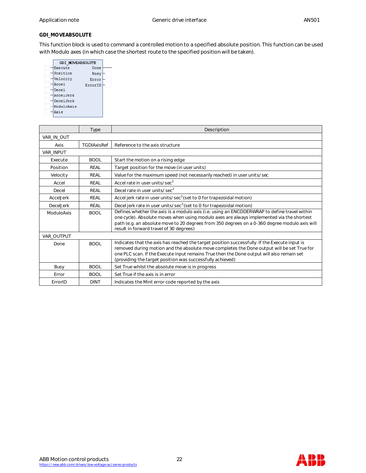# **GDI\_MOVEABSOLUTE**

This function block is used to command a controlled motion to a specified absolute position. This function can be used with Modulo axes (in which case the shortest route to the specified position will be taken).

|            | <b>GDI MOVEABSOLUTE</b> |
|------------|-------------------------|
| Execute    | Done                    |
| Position   | Busy                    |
| Velocity   | Error                   |
| Accel      | ErrorID                 |
| Decel      |                         |
| AccelJerk  |                         |
| DecelJerk  |                         |
| ModuloAxis |                         |
| Axis       |                         |

|                  | Type        | Description                                                                                                                                                                                                                                                                                                                                           |
|------------------|-------------|-------------------------------------------------------------------------------------------------------------------------------------------------------------------------------------------------------------------------------------------------------------------------------------------------------------------------------------------------------|
| VAR_IN_OUT       |             |                                                                                                                                                                                                                                                                                                                                                       |
| Axis             | TGDIAxisRef | Reference to the axis structure                                                                                                                                                                                                                                                                                                                       |
| <b>VAR INPUT</b> |             |                                                                                                                                                                                                                                                                                                                                                       |
| Execute          | <b>BOOL</b> | Start the motion on a rising edge                                                                                                                                                                                                                                                                                                                     |
| Position         | <b>REAL</b> | Target position for the move (in user units)                                                                                                                                                                                                                                                                                                          |
| Velocity         | <b>REAL</b> | Value for the maximum speed (not necessarily reached) in user units/sec                                                                                                                                                                                                                                                                               |
| Accel            | REAL        | Accel rate in user units/sec <sup>2</sup>                                                                                                                                                                                                                                                                                                             |
| Decel            | REAL        | Decel rate in user units/sec <sup>2</sup>                                                                                                                                                                                                                                                                                                             |
| AccelJerk        | <b>REAL</b> | Accel jerk rate in user units/sec <sup>3</sup> (set to 0 for trapezoidal motion)                                                                                                                                                                                                                                                                      |
| <b>DecelJerk</b> | <b>REAL</b> | Decel jerk rate in user units/sec <sup>3</sup> (set to 0 for trapezoidal motion)                                                                                                                                                                                                                                                                      |
| ModuloAxis       | <b>BOOL</b> | Defines whether the axis is a modulo axis (i.e. using an ENCODERWRAP to define travel within<br>one cycle). Absolute moves when using modulo axes are always implemented via the shortest<br>path (e.g. an absolute move to 20 degrees from 350 degrees on a 0-360 degree modulo axis will<br>result in forward travel of 30 degrees)                 |
| VAR OUTPUT       |             |                                                                                                                                                                                                                                                                                                                                                       |
| Done             | <b>BOOL</b> | Indicates that the axis has reached the target position successfully. If the Execute input is<br>removed during motion and the absolute move completes the Done output will be set True for<br>one PLC scan. If the Execute input remains True then the Done output will also remain set<br>(providing the target position was successfully achieved) |
| Busy             | <b>BOOL</b> | Set True whilst the absolute move is in progress                                                                                                                                                                                                                                                                                                      |
| Error            | <b>BOOL</b> | Set True if the axis is in error                                                                                                                                                                                                                                                                                                                      |
| ErrorID          | <b>DINT</b> | Indicates the Mint error code reported by the axis                                                                                                                                                                                                                                                                                                    |



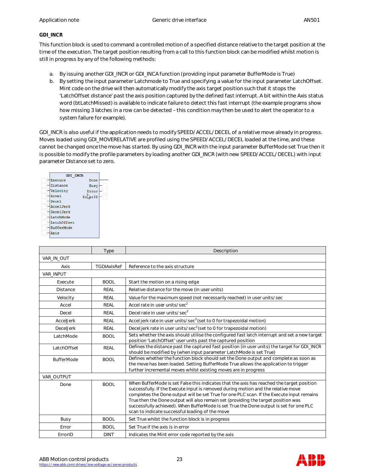# **GDI\_INCR**

This function block is used to command a controlled motion of a specified distance relative to the target position at the time of the execution. The target position resulting from a call to this function block can be modified whilst motion is still in progress by any of the following methods:

- a. By issuing another GDI\_INCR or GDI\_INCA function (providing input parameter BufferMode is True)
- b. By setting the input parameter Latchmode to True and specifying a value for the input parameter LatchOffset. Mint code on the drive will then automatically modify the axis target position such that it stops the 'LatchOffset distance' past the axis position captured by the defined fast interrupt. A bit within the Axis status word (btLatchMissed) is available to indicate failure to detect this fast interrupt (the example programs show how missing 3 latches in a row can be detected – this condition may then be used to alert the operator to a system failure for example).

GDI\_INCR is also useful if the application needs to modify SPEED/ACCEL/DECEL of a relative move already in progress. Moves loaded using GDI\_MOVERELATIVE are profiled using the SPEED/ACCEL/DECEL loaded at the time, and these cannot be changed once the move has started. By using GDI\_INCR with the input parameter BufferMode set True then it is possible to modify the profile parameters by loading another GDI\_INCR (with new SPEED/ACCEL/DECEL) with input parameter Distance set to zero.

| <b>GDI INCR</b>   |            |
|-------------------|------------|
| Execute           | Done       |
| Distance          | Busy       |
| Velocity          | Error      |
| Accel             | ərID<br>Er |
| Decel             |            |
| AccelJerk         |            |
| DecelJerk         |            |
| LatchMode         |            |
| LatchOffset       |            |
| <b>BufferMode</b> |            |
| Axis              |            |

|                   | Type        | Description                                                                                                                                                                                                                                                                                                                                                                                                                                                                                                   |
|-------------------|-------------|---------------------------------------------------------------------------------------------------------------------------------------------------------------------------------------------------------------------------------------------------------------------------------------------------------------------------------------------------------------------------------------------------------------------------------------------------------------------------------------------------------------|
| VAR_IN_OUT        |             |                                                                                                                                                                                                                                                                                                                                                                                                                                                                                                               |
| Axis              | TGDIAxisRef | Reference to the axis structure                                                                                                                                                                                                                                                                                                                                                                                                                                                                               |
| <b>VAR INPUT</b>  |             |                                                                                                                                                                                                                                                                                                                                                                                                                                                                                                               |
| Execute           | <b>BOOL</b> | Start the motion on a rising edge                                                                                                                                                                                                                                                                                                                                                                                                                                                                             |
| <b>Distance</b>   | <b>REAL</b> | Relative distance for the move (in user units)                                                                                                                                                                                                                                                                                                                                                                                                                                                                |
| Velocity          | <b>REAL</b> | Value for the maximum speed (not necessarily reached) in user units/sec                                                                                                                                                                                                                                                                                                                                                                                                                                       |
| Accel             | <b>REAL</b> | Accel rate in user units/sec <sup>2</sup>                                                                                                                                                                                                                                                                                                                                                                                                                                                                     |
| Decel             | <b>REAL</b> | Decel rate in user units/sec <sup>2</sup>                                                                                                                                                                                                                                                                                                                                                                                                                                                                     |
| AccelJerk         | <b>REAL</b> | Accel jerk rate in user units/sec <sup>3</sup> (set to 0 for trapezoidal motion)                                                                                                                                                                                                                                                                                                                                                                                                                              |
| <b>DecelJerk</b>  | REAL        | Decel jerk rate in user units/sec <sup>3</sup> (set to 0 for trapezoidal motion)                                                                                                                                                                                                                                                                                                                                                                                                                              |
| LatchMode         | <b>BOOL</b> | Sets whether the axis should utilise the configured fast latch interrupt and set a new target<br>position 'LatchOffset' user units past the captured position                                                                                                                                                                                                                                                                                                                                                 |
| LatchOffset       | <b>REAL</b> | Defines the distance past the captured fast position (in user units) the target for GDI_INCR<br>should be modified by (when input parameter LatchMode is set True)                                                                                                                                                                                                                                                                                                                                            |
| <b>BufferMode</b> | <b>BOOL</b> | Defines whether the function block should set the Done output and complete as soon as<br>the move has been loaded. Setting BufferMode True allows the application to trigger<br>further incremental moves whilst existing moves are in progress                                                                                                                                                                                                                                                               |
| VAR OUTPUT        |             |                                                                                                                                                                                                                                                                                                                                                                                                                                                                                                               |
| Done              | <b>BOOL</b> | When BufferMode is set False this indicates that the axis has reached the target position<br>successfully. If the Execute input is removed during motion and the relative move<br>completes the Done output will be set True for one PLC scan. If the Execute input remains<br>True then the Done output will also remain set (providing the target position was<br>successfully achieved). When BufferMode is set True the Done output is set for one PLC<br>scan to indicate successful loading of the move |
| Busy              | <b>BOOL</b> | Set True whilst the function block is in progress                                                                                                                                                                                                                                                                                                                                                                                                                                                             |
| Error             | <b>BOOL</b> | Set True if the axis is in error                                                                                                                                                                                                                                                                                                                                                                                                                                                                              |
| ErrorID           | <b>DINT</b> | Indicates the Mint error code reported by the axis                                                                                                                                                                                                                                                                                                                                                                                                                                                            |

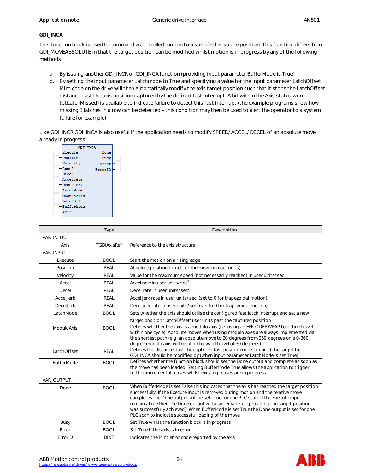# **GDI\_INCA**

This function block is used to command a controlled motion to a specified absolute position. This function differs from GDI\_MOVEABSOLUTE in that the target position can be modified whilst motion is in progress by any of the following methods:

- a. By issuing another GDI\_INCR or GDI\_INCA function (providing input parameter BufferMode is True)
- b. By setting the input parameter Latchmode to True and specifying a value for the input parameter LatchOffset. Mint code on the drive will then automatically modify the axis target position such that it stops the LatchOffset distance past the axis position captured by the defined fast interrupt. A bit within the Axis status word (btLatchMissed) is available to indicate failure to detect this fast interrupt (the example programs show how missing 3 latches in a row can be detected – this condition may then be used to alert the operator to a system failure for example).

Like GDI\_INCR GDI\_INCA is also useful if the application needs to modify SPEED/ACCEL/DECEL of an absolute move already in progress.



|                   | Type        | Description                                                                                                                                                                                                                                                                                                                                                                                                                                                                                                   |
|-------------------|-------------|---------------------------------------------------------------------------------------------------------------------------------------------------------------------------------------------------------------------------------------------------------------------------------------------------------------------------------------------------------------------------------------------------------------------------------------------------------------------------------------------------------------|
| VAR IN OUT        |             |                                                                                                                                                                                                                                                                                                                                                                                                                                                                                                               |
| Axis              | TGDIAxisRef | Reference to the axis structure                                                                                                                                                                                                                                                                                                                                                                                                                                                                               |
| VAR_INPUT         |             |                                                                                                                                                                                                                                                                                                                                                                                                                                                                                                               |
| Execute           | <b>BOOL</b> | Start the motion on a rising edge                                                                                                                                                                                                                                                                                                                                                                                                                                                                             |
| Position          | <b>REAL</b> | Absolute position target for the move (in user units)                                                                                                                                                                                                                                                                                                                                                                                                                                                         |
| Velocity          | <b>REAL</b> | Value for the maximum speed (not necessarily reached) in user units/sec                                                                                                                                                                                                                                                                                                                                                                                                                                       |
| Accel             | <b>REAL</b> | Accel rate in user units/sec <sup>2</sup>                                                                                                                                                                                                                                                                                                                                                                                                                                                                     |
| Decel             | <b>REAL</b> | Decel rate in user units/sec <sup>2</sup>                                                                                                                                                                                                                                                                                                                                                                                                                                                                     |
| AccelJerk         | <b>REAL</b> | Accel jerk rate in user units/sec <sup>3</sup> (set to 0 for trapezoidal motion)                                                                                                                                                                                                                                                                                                                                                                                                                              |
| DecelJerk         | <b>REAL</b> | Decel jerk rate in user units/sec <sup>3</sup> (set to 0 for trapezoidal motion)                                                                                                                                                                                                                                                                                                                                                                                                                              |
| LatchMode         | <b>BOOL</b> | Sets whether the axis should utilise the configured fast latch interrupt and set a new                                                                                                                                                                                                                                                                                                                                                                                                                        |
|                   |             | target position 'LatchOffset' user units past the captured position                                                                                                                                                                                                                                                                                                                                                                                                                                           |
| ModuloAxis        | <b>BOOL</b> | Defines whether the axis is a modulo axis (i.e. using an ENCODERWRAP to define travel<br>within one cycle). Absolute moves when using modulo axes are always implemented via<br>the shortest path (e.g. an absolute move to 20 degrees from 350 degrees on a 0-360<br>degree modulo axis will result in forward travel of 30 degrees)                                                                                                                                                                         |
| LatchOffset       | REAL        | Defines the distance past the captured fast position (in user units) the target for<br>GDI_INCA should be modified by (when input parameter LatchMode is set True)                                                                                                                                                                                                                                                                                                                                            |
| <b>BufferMode</b> | <b>BOOL</b> | Defines whether the function block should set the Done output and complete as soon as<br>the move has been loaded. Setting BufferMode True allows the application to trigger<br>further incremental moves whilst existing moves are in progress                                                                                                                                                                                                                                                               |
| VAR_OUTPUT        |             |                                                                                                                                                                                                                                                                                                                                                                                                                                                                                                               |
| Done              | <b>BOOL</b> | When BufferMode is set False this indicates that the axis has reached the target position<br>successfully. If the Execute input is removed during motion and the relative move<br>completes the Done output will be set True for one PLC scan. If the Execute input<br>remains True then the Done output will also remain set (providing the target position<br>was successfully achieved). When BufferMode is set True the Done output is set for one<br>PLC scan to indicate successful loading of the move |
| Busy              | <b>BOOL</b> | Set True whilst the function block is in progress                                                                                                                                                                                                                                                                                                                                                                                                                                                             |
| Error             | <b>BOOL</b> | Set True if the axis is in error                                                                                                                                                                                                                                                                                                                                                                                                                                                                              |
| ErrorID           | <b>DINT</b> | Indicates the Mint error code reported by the axis                                                                                                                                                                                                                                                                                                                                                                                                                                                            |



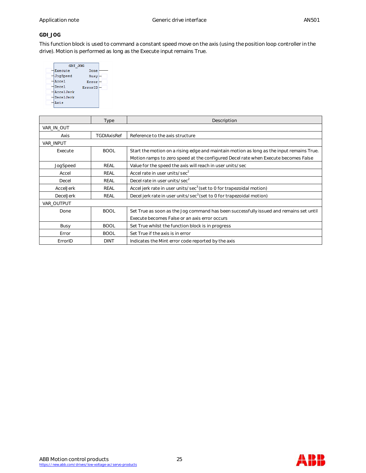# **GDI\_JOG**

This function block is used to command a constant speed move on the axis (using the position loop controller in the drive). Motion is performed as long as the Execute input remains True.

| GDI JOG   |             |
|-----------|-------------|
| Execute   | Done        |
| JogSpeed  | <b>Busy</b> |
| Accel     | Error       |
| Decel     | ErrorID     |
| AccelJerk |             |
| DecelJerk |             |
| Axis      |             |
|           |             |

|                  | Type               | Description                                                                              |
|------------------|--------------------|------------------------------------------------------------------------------------------|
| VAR IN OUT       |                    |                                                                                          |
| Axis             | <b>TGDIAxisRef</b> | Reference to the axis structure                                                          |
| <b>VAR INPUT</b> |                    |                                                                                          |
| Execute          | <b>BOOL</b>        | Start the motion on a rising edge and maintain motion as long as the input remains True. |
|                  |                    | Motion ramps to zero speed at the configured Decel rate when Execute becomes False       |
| JogSpeed         | REAL               | Value for the speed the axis will reach in user units/sec                                |
| Accel            | REAL               | Accel rate in user units/sec <sup>2</sup>                                                |
| Decel            | REAL               | Decel rate in user units/sec <sup>2</sup>                                                |
| <b>AccelJerk</b> | REAL               | Accel jerk rate in user units/sec <sup>3</sup> (set to 0 for trapezoidal motion)         |
| <b>DecelJerk</b> | REAL               | Decel jerk rate in user units/sec <sup>3</sup> (set to 0 for trapezoidal motion)         |
| VAR OUTPUT       |                    |                                                                                          |
| Done             | <b>BOOL</b>        | Set True as soon as the Jog command has been successfully issued and remains set until   |
|                  |                    | Execute becomes False or an axis error occurs                                            |
| Busy             | <b>BOOL</b>        | Set True whilst the function block is in progress                                        |
| Error            | <b>BOOL</b>        | Set True if the axis is in error                                                         |
| ErrorID          | <b>DINT</b>        | Indicates the Mint error code reported by the axis                                       |

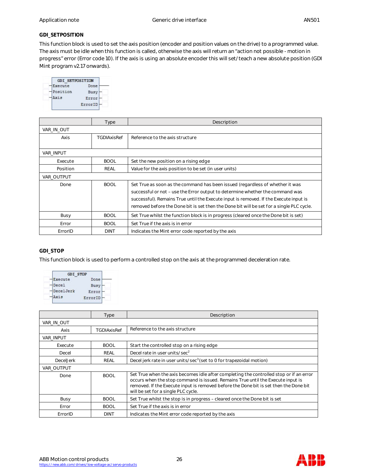### **GDI\_SETPOSITION**

This function block is used to set the axis position (encoder and position values on the drive) to a programmed value. The axis must be idle when this function is called, otherwise the axis will return an "action not possible - motion in progress" error (Error code 10). If the axis is using an absolute encoder this will set/teach a new absolute position (GDI Mint program v2.17 onwards).

| <b>GDI SETPOSITION</b> |         |
|------------------------|---------|
| Execute                | Done    |
| Position               | Busy    |
| Axis                   | Error   |
|                        | ErrorID |

|                  | Type               | Description                                                                              |
|------------------|--------------------|------------------------------------------------------------------------------------------|
| VAR_IN_OUT       |                    |                                                                                          |
| Axis             | <b>TGDIAxisRef</b> | Reference to the axis structure                                                          |
|                  |                    |                                                                                          |
| <b>VAR INPUT</b> |                    |                                                                                          |
| Execute          | <b>BOOL</b>        | Set the new position on a rising edge                                                    |
| Position         | REAL               | Value for the axis position to be set (in user units)                                    |
| VAR OUTPUT       |                    |                                                                                          |
| Done             | <b>BOOL</b>        | Set True as soon as the command has been issued (regardless of whether it was            |
|                  |                    | successful or not – use the Error output to determine whether the command was            |
|                  |                    | successful). Remains True until the Execute input is removed. If the Execute input is    |
|                  |                    | removed before the Done bit is set then the Done bit will be set for a single PLC cycle. |
| Busy             | <b>BOOL</b>        | Set True whilst the function block is in progress (cleared once the Done bit is set)     |
| Error            | <b>BOOL</b>        | Set True if the axis is in error                                                         |
| ErrorID          | <b>DINT</b>        | Indicates the Mint error code reported by the axis                                       |

# **GDI\_STOP**

This function block is used to perform a controlled stop on the axis at the programmed deceleration rate.

| <b>GDI STOP</b> |         |
|-----------------|---------|
| <b>Execute</b>  | Done    |
| Decel           | Busy    |
| DecelJerk       | Error   |
| xis             | ErrorID |

|                  | <b>Type</b> | Description                                                                                                                                                                                                                                                                                                |
|------------------|-------------|------------------------------------------------------------------------------------------------------------------------------------------------------------------------------------------------------------------------------------------------------------------------------------------------------------|
| VAR IN OUT       |             |                                                                                                                                                                                                                                                                                                            |
| Axis             | TGDIAxisRef | Reference to the axis structure                                                                                                                                                                                                                                                                            |
| VAR INPUT        |             |                                                                                                                                                                                                                                                                                                            |
| Execute          | <b>BOOL</b> | Start the controlled stop on a rising edge                                                                                                                                                                                                                                                                 |
| Decel            | REAL        | Decel rate in user units/sec <sup>2</sup>                                                                                                                                                                                                                                                                  |
| <b>DecelJerk</b> | REAL        | Decel jerk rate in user units/sec <sup>3</sup> (set to 0 for trapezoidal motion)                                                                                                                                                                                                                           |
| VAR OUTPUT       |             |                                                                                                                                                                                                                                                                                                            |
| Done             | <b>BOOL</b> | Set True when the axis becomes idle after completing the controlled stop or if an error<br>occurs when the stop command is issued. Remains True until the Execute input is<br>removed. If the Execute input is removed before the Done bit is set then the Done bit<br>will be set for a single PLC cycle. |
| Busy             | <b>BOOL</b> | Set True whilst the stop is in progress – cleared once the Done bit is set                                                                                                                                                                                                                                 |
| Error            | <b>BOOL</b> | Set True if the axis is in error                                                                                                                                                                                                                                                                           |
| ErrorID          | <b>DINT</b> | Indicates the Mint error code reported by the axis                                                                                                                                                                                                                                                         |



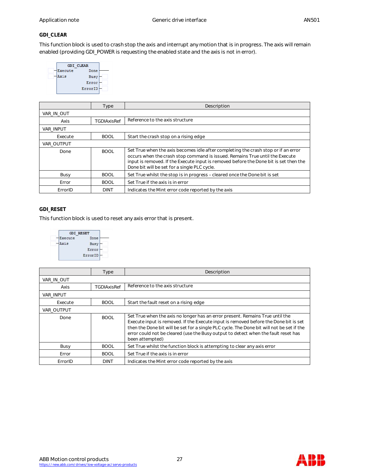# **GDI\_CLEAR**

This function block is used to crash stop the axis and interrupt any motion that is in progress. The axis will remain enabled (providing GDI\_POWER is requesting the enabled state and the axis is not in error).

| <b>GDI CLEAR</b> |
|------------------|
| Done             |
| Busy             |
| Error            |
| ErrorID          |
|                  |

|                   | Type        | Description                                                                                                                                                                                                                                                                                                 |  |
|-------------------|-------------|-------------------------------------------------------------------------------------------------------------------------------------------------------------------------------------------------------------------------------------------------------------------------------------------------------------|--|
| VAR IN OUT        |             |                                                                                                                                                                                                                                                                                                             |  |
| Axis              | TGDIAxisRef | Reference to the axis structure                                                                                                                                                                                                                                                                             |  |
| <b>VAR INPUT</b>  |             |                                                                                                                                                                                                                                                                                                             |  |
| Execute           | <b>BOOL</b> | Start the crash stop on a rising edge                                                                                                                                                                                                                                                                       |  |
| <b>VAR OUTPUT</b> |             |                                                                                                                                                                                                                                                                                                             |  |
| Done              | <b>BOOL</b> | Set True when the axis becomes idle after completing the crash stop or if an error<br>occurs when the crash stop command is issued. Remains True until the Execute<br>input is removed. If the Execute input is removed before the Done bit is set then the<br>Done bit will be set for a single PLC cycle. |  |
| Busy              | <b>BOOL</b> | Set True whilst the stop is in progress – cleared once the Done bit is set                                                                                                                                                                                                                                  |  |
| Error             | <b>BOOL</b> | Set True if the axis is in error                                                                                                                                                                                                                                                                            |  |
| ErrorID           | DINT        | Indicates the Mint error code reported by the axis                                                                                                                                                                                                                                                          |  |

#### **GDI\_RESET**

This function block is used to reset any axis error that is present.



|            | Type               | Description                                                                                                                                                                                                                                                                                                                                                                 |  |
|------------|--------------------|-----------------------------------------------------------------------------------------------------------------------------------------------------------------------------------------------------------------------------------------------------------------------------------------------------------------------------------------------------------------------------|--|
| VAR IN OUT |                    |                                                                                                                                                                                                                                                                                                                                                                             |  |
| Axis       | <b>TGDIAxisRef</b> | Reference to the axis structure                                                                                                                                                                                                                                                                                                                                             |  |
| VAR INPUT  |                    |                                                                                                                                                                                                                                                                                                                                                                             |  |
| Execute    | <b>BOOL</b>        | Start the fault reset on a rising edge                                                                                                                                                                                                                                                                                                                                      |  |
| VAR OUTPUT |                    |                                                                                                                                                                                                                                                                                                                                                                             |  |
| Done       | <b>BOOL</b>        | Set True when the axis no longer has an error present. Remains True until the<br>Execute input is removed. If the Execute input is removed before the Done bit is set<br>then the Done bit will be set for a single PLC cycle. The Done bit will not be set if the<br>error could not be cleared (use the Busy output to detect when the fault reset has<br>been attempted) |  |
| Busy       | <b>BOOL</b>        | Set True whilst the function block is attempting to clear any axis error                                                                                                                                                                                                                                                                                                    |  |
| Error      | <b>BOOL</b>        | Set True if the axis is in error                                                                                                                                                                                                                                                                                                                                            |  |
| ErrorID    | <b>DINT</b>        | Indicates the Mint error code reported by the axis                                                                                                                                                                                                                                                                                                                          |  |



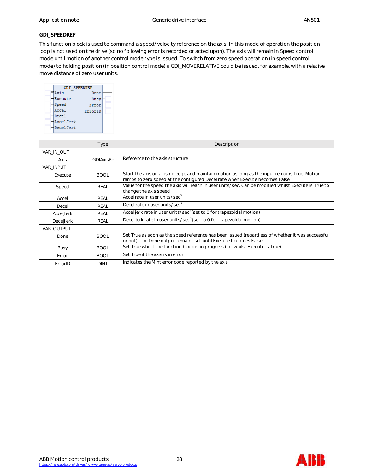#### **GDI\_SPEEDREF**

This function block is used to command a speed/velocity reference on the axis. In this mode of operation the position loop is not used on the drive (so no following error is recorded or acted upon). The axis will remain in Speed control mode until motion of another control mode type is issued. To switch from zero speed operation (in speed control mode) to holding position (in position control mode) a GDI\_MOVERELATIVE could be issued, for example, with a relative move distance of zero user units.



|                  | Type        | Description                                                                                                                                                                  |
|------------------|-------------|------------------------------------------------------------------------------------------------------------------------------------------------------------------------------|
| VAR IN OUT       |             |                                                                                                                                                                              |
| Axis             | TGDIAxisRef | Reference to the axis structure                                                                                                                                              |
| <b>VAR INPUT</b> |             |                                                                                                                                                                              |
| Execute          | <b>BOOL</b> | Start the axis on a rising edge and maintain motion as long as the input remains True. Motion<br>ramps to zero speed at the configured Decel rate when Execute becomes False |
| Speed            | REAL        | Value for the speed the axis will reach in user units/sec. Can be modified whilst Execute is True to<br>change the axis speed                                                |
| Accel            | <b>REAL</b> | Accel rate in user units/sec <sup>2</sup>                                                                                                                                    |
| Decel            | REAL        | Decel rate in user units/sec <sup>2</sup>                                                                                                                                    |
| AccelJerk        | REAL        | Accel jerk rate in user units/sec <sup>3</sup> (set to 0 for trapezoidal motion)                                                                                             |
| DecelJerk        | REAL        | Decel jerk rate in user units/sec <sup>3</sup> (set to 0 for trapezoidal motion)                                                                                             |
| VAR OUTPUT       |             |                                                                                                                                                                              |
| Done             | <b>BOOL</b> | Set True as soon as the speed reference has been issued (regardless of whether it was successful<br>or not). The Done output remains set until Execute becomes False         |
| Busy             | <b>BOOL</b> | Set True whilst the function block is in progress (i.e. whilst Execute is True)                                                                                              |
| Error            | <b>BOOL</b> | Set True if the axis is in error                                                                                                                                             |
| ErrorID          | <b>DINT</b> | Indicates the Mint error code reported by the axis                                                                                                                           |



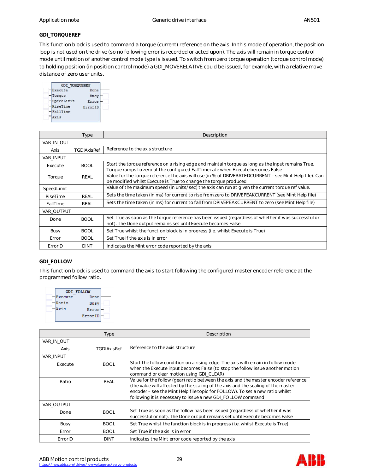## **GDI\_TORQUEREF**

This function block is used to command a torque (current) reference on the axis. In this mode of operation, the position loop is not used on the drive (so no following error is recorded or acted upon). The axis will remain in torque control mode until motion of another control mode type is issued. To switch from zero torque operation (torque control mode) to holding position (in position control mode) a GDI\_MOVERELATIVE could be issued, for example, with a relative move distance of zero user units.



|            | Type        | Description                                                                                                                                                                           |
|------------|-------------|---------------------------------------------------------------------------------------------------------------------------------------------------------------------------------------|
| VAR IN OUT |             |                                                                                                                                                                                       |
| Axis       | TGDIAxisRef | Reference to the axis structure                                                                                                                                                       |
| VAR INPUT  |             |                                                                                                                                                                                       |
| Execute    | <b>BOOL</b> | Start the torque reference on a rising edge and maintain torque as long as the input remains True.<br>Torque ramps to zero at the configured FallTime rate when Execute becomes False |
| Torque     | REAL        | Value for the torque reference the axis will use (in % of DRIVERATEDCURRENT – see Mint Help file). Can<br>be modified whilst Execute is True to change the torque produced            |
| SpeedLimit |             | Value of the maximum speed (in units/sec) the axis can run at given the current torque ref value.                                                                                     |
| RiseTime   | REAL        | Sets the time taken (in ms) for current to rise from zero to DRIVEPEAKCURRENT (see Mint Help file)                                                                                    |
| FallTime   | REAL        | Sets the time taken (in ms) for current to fall from DRIVEPEAKCURRENT to zero (see Mint Help file)                                                                                    |
| VAR OUTPUT |             |                                                                                                                                                                                       |
| Done       | <b>BOOL</b> | Set True as soon as the torque reference has been issued (regardless of whether it was successful or<br>not). The Done output remains set until Execute becomes False                 |
| Busy       | <b>BOOL</b> | Set True whilst the function block is in progress (i.e. whilst Execute is True)                                                                                                       |
| Error      | <b>BOOL</b> | Set True if the axis is in error                                                                                                                                                      |
| ErrorID    | <b>DINT</b> | Indicates the Mint error code reported by the axis                                                                                                                                    |

# **GDI\_FOLLOW**

This function block is used to command the axis to start following the configured master encoder reference at the programmed follow ratio.



|                  | <b>Type</b> | Description                                                                                                                                                                                                                                                                                                              |  |
|------------------|-------------|--------------------------------------------------------------------------------------------------------------------------------------------------------------------------------------------------------------------------------------------------------------------------------------------------------------------------|--|
| VAR IN OUT       |             |                                                                                                                                                                                                                                                                                                                          |  |
| Axis             | TGDIAxisRef | Reference to the axis structure                                                                                                                                                                                                                                                                                          |  |
| <b>VAR INPUT</b> |             |                                                                                                                                                                                                                                                                                                                          |  |
| Execute          | <b>BOOL</b> | Start the follow condition on a rising edge. The axis will remain in follow mode<br>when the Execute input becomes False (to stop the follow issue another motion<br>command or clear motion using GDI_CLEAR)                                                                                                            |  |
| Ratio            | REAL        | Value for the follow (gear) ratio between the axis and the master encoder reference<br>(the value will affected by the scaling of the axis and the scaling of the master<br>encoder – see the Mint Help file topic for FOLLOW). To set a new ratio whilst<br>following it is necessary to issue a new GDI FOLLOW command |  |
| VAR OUTPUT       |             |                                                                                                                                                                                                                                                                                                                          |  |
| Done             | <b>BOOL</b> | Set True as soon as the follow has been issued (regardless of whether it was<br>successful or not). The Done output remains set until Execute becomes False                                                                                                                                                              |  |
| Busy             | <b>BOOL</b> | Set True whilst the function block is in progress (i.e. whilst Execute is True)                                                                                                                                                                                                                                          |  |
| Error            | <b>BOOL</b> | Set True if the axis is in error                                                                                                                                                                                                                                                                                         |  |
| ErrorID          | <b>DINT</b> | Indicates the Mint error code reported by the axis                                                                                                                                                                                                                                                                       |  |

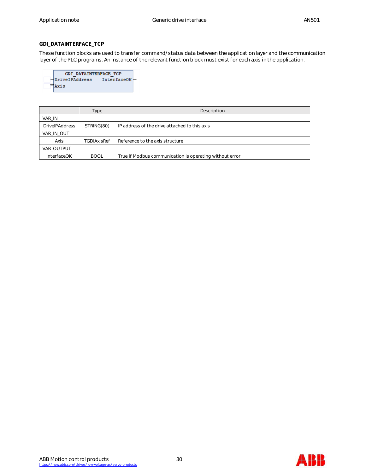# **GDI\_DATAINTERFACE\_TCP**

These function blocks are used to transfer command/status data between the application layer and the communication layer of the PLC programs. An instance of the relevant function block must exist for each axis in the application.

| GDI DATAINTERFACE TCP |             |  |
|-----------------------|-------------|--|
| <b>DriveIPAddress</b> | InterfaceOK |  |
| X 1. S                |             |  |
|                       |             |  |

|                       | Type               | Description                                             |
|-----------------------|--------------------|---------------------------------------------------------|
| VAR IN                |                    |                                                         |
| <b>DrivelPAddress</b> | STRING(80)         | IP address of the drive attached to this axis           |
| VAR IN OUT            |                    |                                                         |
| Axis                  | <b>TGDIAxisRef</b> | Reference to the axis structure                         |
| VAR OUTPUT            |                    |                                                         |
| <b>InterfaceOK</b>    | <b>BOOL</b>        | True if Modbus communication is operating without error |



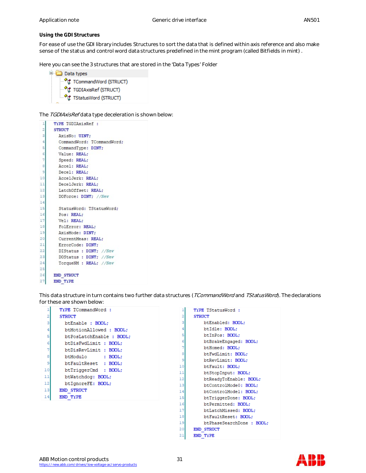**Using the GDI Structures**

For ease of use the GDI library includes Structures to sort the data that is defined within axis reference and also make sense of the status and control word data structures predefined in the mint program (called Bitfields in mint) .

Here you can see the 3 structures that are stored in the 'Data Types' Folder



The TGDIAxisRefdata type deceleration is shown below:



This data structure in turn contains two further data structures (TCommandWord and TStatusWord). The declarations for these are shown below:

| 1  | <b>TYPE TCommandWord:</b> | 1        |
|----|---------------------------|----------|
| 2  | <b>STRUCT</b>             | 2        |
| 3  | btEnable : BOOL;          | 3        |
| 4  | btMotionAllowed: BOOL:    | 4        |
| 5  | btPosLatchEnable : BOOL;  | 5        |
| 6  | btDisFwdLimit : BOOL;     | 6        |
| 7  | btDisRevLimit : BOOL:     | 7        |
| 8  | btModulo<br>: BOOL:       | 8        |
| 9  | btFaultReset : BOOL:      | 9        |
| 10 | btTriggerCmd : BOOL;      | 10       |
| 11 | btWatchdog: BOOL;         | 11<br>12 |
| 12 | btIgnoreFE: BOOL;         | 13       |
| 13 | <b>END STRUCT</b>         | 14       |
| 14 | END TYPE                  | 15       |
|    |                           | 16       |
|    |                           | 17       |
|    |                           | 18       |
|    |                           | 19       |
|    |                           | 20       |

| <b>TYPE TStatusWord:</b>  |
|---------------------------|
| <b>STRUCT</b>             |
| btEnabled: BOOL:          |
| btIdle: BOOL:             |
| btInPos: BOOL:            |
| btBrakeEngaged: BOOL;     |
| btHomed: BOOL:            |
| btFwdLimit: BOOL:         |
| btRevLimit: BOOL:         |
| btFault: BOOL:            |
| btStopInput: BOOL;        |
| btReadyToEnable: BOOL;    |
| btControlMode0: BOOL:     |
| btControlModel: BOOL:     |
| btTriggerDone: BOOL;      |
| btPermitted: BOOL:        |
| btLatchMissed: BOOL:      |
| btFaultReset: BOOL:       |
| btPhaseSearchDone : BOOL: |
| <b>END STRUCT</b>         |
| END TYPE                  |
|                           |



 $_{21}$ 

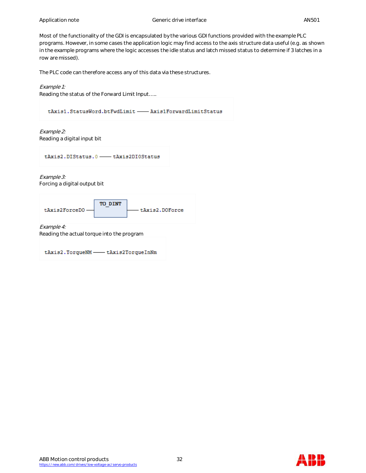Most of the functionality of the GDI is encapsulated by the various GDI functions provided with the example PLC programs. However, in some cases the application logic may find access to the axis structure data useful (e.g. as shown in the example programs where the logic accesses the idle status and latch missed status to determine if 3 latches in a row are missed).

The PLC code can therefore access any of this data via these structures.

Example 1:

Reading the status of the Forward Limit Input…..

tAxis1.StatusWord.btFwdLimit -- Axis1ForwardLimitStatus

Example 2: Reading a digital input bit

tAxis2.DIStatus.0 - tAxis2DI0Status

Example 3: Forcing a digital output bit



Example 4:

Reading the actual torque into the program

tAxis2.TorqueNM - tAxis2TorqueInNm

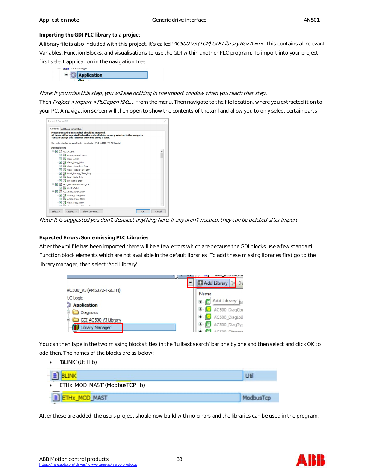### **Importing the GDI PLC library to a project**

A library file is also included with this project, it's called 'AC500 V3 (TCP) GDI Library Rev A.xml'. This contains all relevant Variables, Function Blocks, and visualisations to use the GDI within another PLC program. To import into your project first select application in the navigation tree.



Note: If you miss this step, you will see nothing in the import window when you reach that step.

Then Project > Import > PLCopen XML... from the menu. Then navigate to the file location, where you extracted it on to your PC. A navigation screen will then open to show the contents of the xml and allow you to only select certain parts.



Note: It is suggested you don't deselect anything here, if any aren't needed, they can be deleted after import.

# **Expected Errors: Some missing PLC Libraries**

After the xml file has been imported there will be a few errors which are because the GDI blocks use a few standard Function block elements which are not available in the default libraries. To add these missing libraries first go to the library manager, then select 'Add Library'.

|                          | L۹ς               |
|--------------------------|-------------------|
|                          | Add Library<br>De |
| AC500_V3 (PM5072-T-2ETH) | Name              |
| <b>LC</b> Logic          |                   |
| <b>Application</b>       | Add Library       |
| Diagnosis                | AC500_DiagCpu     |
| GDI AC500 V3 Library     | AC500 DiagIoB     |
| Library Manager          | AC500_DiagTyp     |
|                          | C500 Etherna      |

You can then type in the two missing blocks titles in the 'fulltext search' bar one by one and then select and click OK to add then. The names of the blocks are as below:

'BLINK' (Util lib)

| ETHx_MOD_MAST' (ModbusTCP lib)<br>$\bullet$ |  |
|---------------------------------------------|--|
|                                             |  |

After these are added, the users project should now build with no errors and the libraries can be used in the program.